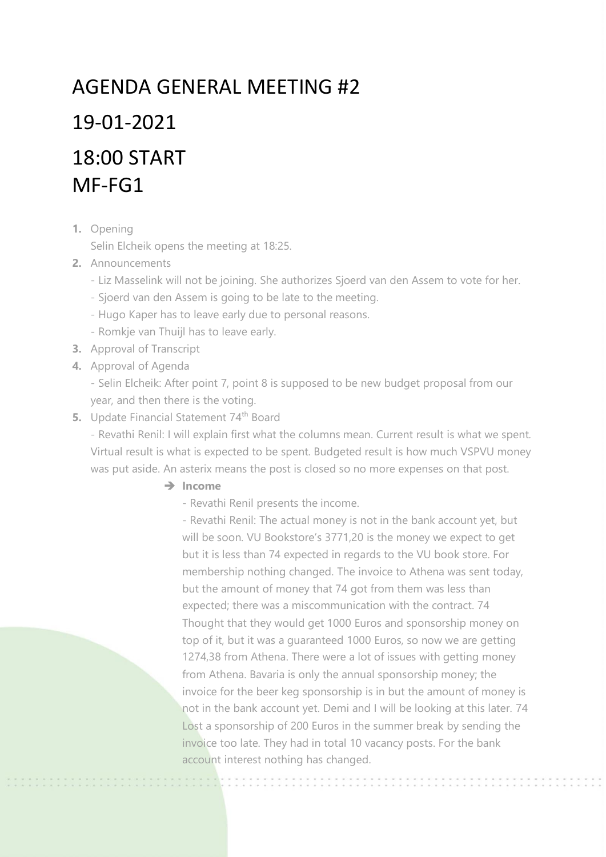# AGENDA GENERAL MEETING #2 19-01-2021 18:00 START MF-FG1

- **1.** Opening
	- Selin Elcheik opens the meeting at 18:25.
- **2.** Announcements
	- Liz Masselink will not be joining. She authorizes Sjoerd van den Assem to vote for her.
	- Sjoerd van den Assem is going to be late to the meeting.
	- Hugo Kaper has to leave early due to personal reasons.
	- Romkje van Thuijl has to leave early.
- **3.** Approval of Transcript
- **4.** Approval of Agenda

- Selin Elcheik: After point 7, point 8 is supposed to be new budget proposal from our year, and then there is the voting.

**5.** Update Financial Statement 74<sup>th</sup> Board

- Revathi Renil: I will explain first what the columns mean. Current result is what we spent. Virtual result is what is expected to be spent. Budgeted result is how much VSPVU money was put aside. An asterix means the post is closed so no more expenses on that post.

# ➔ **Income**

- Revathi Renil presents the income.

- Revathi Renil: The actual money is not in the bank account yet, but will be soon. VU Bookstore's 3771,20 is the money we expect to get but it is less than 74 expected in regards to the VU book store. For membership nothing changed. The invoice to Athena was sent today, but the amount of money that 74 got from them was less than expected; there was a miscommunication with the contract. 74 Thought that they would get 1000 Euros and sponsorship money on top of it, but it was a guaranteed 1000 Euros, so now we are getting 1274,38 from Athena. There were a lot of issues with getting money from Athena. Bavaria is only the annual sponsorship money; the invoice for the beer keg sponsorship is in but the amount of money is not in the bank account yet. Demi and I will be looking at this later. 74 Lost a sponsorship of 200 Euros in the summer break by sending the invoice too late. They had in total 10 vacancy posts. For the bank account interest nothing has changed.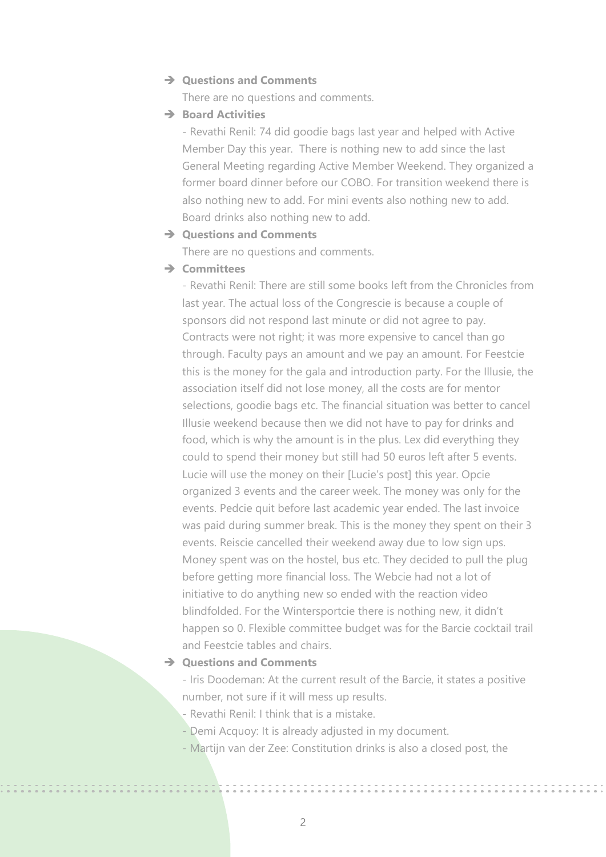#### ➔ **Questions and Comments**

There are no questions and comments.

## ➔ **Board Activities**

- Revathi Renil: 74 did goodie bags last year and helped with Active Member Day this year. There is nothing new to add since the last General Meeting regarding Active Member Weekend. They organized a former board dinner before our COBO. For transition weekend there is also nothing new to add. For mini events also nothing new to add. Board drinks also nothing new to add.

## ➔ **Questions and Comments**

There are no questions and comments.

# ➔ **Committees**

- Revathi Renil: There are still some books left from the Chronicles from last year. The actual loss of the Congrescie is because a couple of sponsors did not respond last minute or did not agree to pay. Contracts were not right; it was more expensive to cancel than go through. Faculty pays an amount and we pay an amount. For Feestcie this is the money for the gala and introduction party. For the Illusie, the association itself did not lose money, all the costs are for mentor selections, goodie bags etc. The financial situation was better to cancel Illusie weekend because then we did not have to pay for drinks and food, which is why the amount is in the plus. Lex did everything they could to spend their money but still had 50 euros left after 5 events. Lucie will use the money on their [Lucie's post] this year. Opcie organized 3 events and the career week. The money was only for the events. Pedcie quit before last academic year ended. The last invoice was paid during summer break. This is the money they spent on their 3 events. Reiscie cancelled their weekend away due to low sign ups. Money spent was on the hostel, bus etc. They decided to pull the plug before getting more financial loss. The Webcie had not a lot of initiative to do anything new so ended with the reaction video blindfolded. For the Wintersportcie there is nothing new, it didn't happen so 0. Flexible committee budget was for the Barcie cocktail trail and Feestcie tables and chairs.

#### ➔ **Questions and Comments**

- Iris Doodeman: At the current result of the Barcie, it states a positive number, not sure if it will mess up results.

- Revathi Renil: I think that is a mistake.
- Demi Acquoy: It is already adjusted in my document.
- Martijn van der Zee: Constitution drinks is also a closed post, the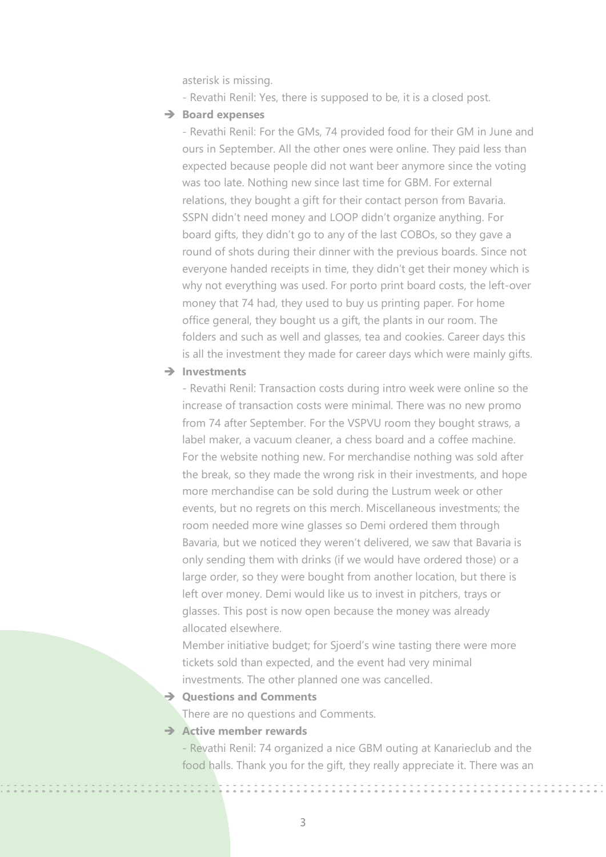asterisk is missing.

- Revathi Renil: Yes, there is supposed to be, it is a closed post.
- ➔ **Board expenses**

- Revathi Renil: For the GMs, 74 provided food for their GM in June and ours in September. All the other ones were online. They paid less than expected because people did not want beer anymore since the voting was too late. Nothing new since last time for GBM. For external relations, they bought a gift for their contact person from Bavaria. SSPN didn't need money and LOOP didn't organize anything. For board gifts, they didn't go to any of the last COBOs, so they gave a round of shots during their dinner with the previous boards. Since not everyone handed receipts in time, they didn't get their money which is why not everything was used. For porto print board costs, the left-over money that 74 had, they used to buy us printing paper. For home office general, they bought us a gift, the plants in our room. The folders and such as well and glasses, tea and cookies. Career days this is all the investment they made for career days which were mainly gifts.

#### ➔ **Investments**

- Revathi Renil: Transaction costs during intro week were online so the increase of transaction costs were minimal. There was no new promo from 74 after September. For the VSPVU room they bought straws, a label maker, a vacuum cleaner, a chess board and a coffee machine. For the website nothing new. For merchandise nothing was sold after the break, so they made the wrong risk in their investments, and hope more merchandise can be sold during the Lustrum week or other events, but no regrets on this merch. Miscellaneous investments; the room needed more wine glasses so Demi ordered them through Bavaria, but we noticed they weren't delivered, we saw that Bavaria is only sending them with drinks (if we would have ordered those) or a large order, so they were bought from another location, but there is left over money. Demi would like us to invest in pitchers, trays or glasses. This post is now open because the money was already allocated elsewhere.

Member initiative budget; for Sjoerd's wine tasting there were more tickets sold than expected, and the event had very minimal investments. The other planned one was cancelled.

# ➔ **Questions and Comments**

There are no questions and Comments.

# ➔ **Active member rewards**

- Revathi Renil: 74 organized a nice GBM outing at Kanarieclub and the food halls. Thank you for the gift, they really appreciate it. There was an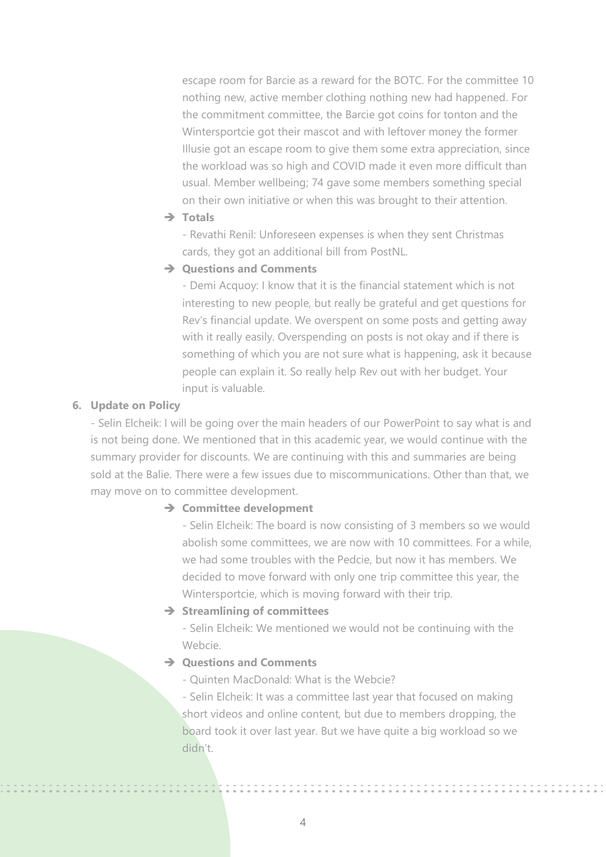escape room for Barcie as a reward for the BOTC. For the committee 10 nothing new, active member clothing nothing new had happened. For the commitment committee, the Barcie got coins for tonton and the Wintersportcie got their mascot and with leftover money the former Illusie got an escape room to give them some extra appreciation, since the workload was so high and COVID made it even more difficult than usual. Member wellbeing; 74 gave some members something special on their own initiative or when this was brought to their attention.

## ➔ **Totals**

- Revathi Renil: Unforeseen expenses is when they sent Christmas cards, they got an additional bill from PostNL.

# ➔ **Questions and Comments**

- Demi Acquoy: I know that it is the financial statement which is not interesting to new people, but really be grateful and get questions for Rev's financial update. We overspent on some posts and getting away with it really easily. Overspending on posts is not okay and if there is something of which you are not sure what is happening, ask it because people can explain it. So really help Rev out with her budget. Your input is valuable.

# **6. Update on Policy**

- Selin Elcheik: I will be going over the main headers of our PowerPoint to say what is and is not being done. We mentioned that in this academic year, we would continue with the summary provider for discounts. We are continuing with this and summaries are being sold at the Balie. There were a few issues due to miscommunications. Other than that, we may move on to committee development.

# ➔ **Committee development**

- Selin Elcheik: The board is now consisting of 3 members so we would abolish some committees, we are now with 10 committees. For a while, we had some troubles with the Pedcie, but now it has members. We decided to move forward with only one trip committee this year, the Wintersportcie, which is moving forward with their trip.

# ➔ **Streamlining of committees**

- Selin Elcheik: We mentioned we would not be continuing with the Webcie.

# ➔ **Questions and Comments**

- Quinten MacDonald: What is the Webcie?

- Selin Elcheik: It was a committee last year that focused on making short videos and online content, but due to members dropping, the board took it over last year. But we have quite a big workload so we didn't.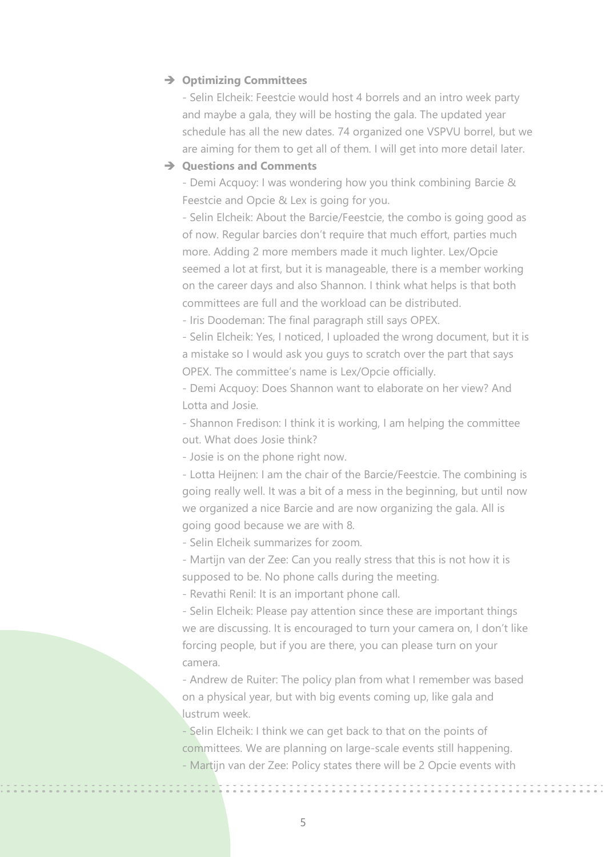#### ➔ **Optimizing Committees**

- Selin Elcheik: Feestcie would host 4 borrels and an intro week party and maybe a gala, they will be hosting the gala. The updated year schedule has all the new dates. 74 organized one VSPVU borrel, but we are aiming for them to get all of them. I will get into more detail later.

# ➔ **Questions and Comments**

- Demi Acquoy: I was wondering how you think combining Barcie & Feestcie and Opcie & Lex is going for you.

- Selin Elcheik: About the Barcie/Feestcie, the combo is going good as of now. Regular barcies don't require that much effort, parties much more. Adding 2 more members made it much lighter. Lex/Opcie seemed a lot at first, but it is manageable, there is a member working on the career days and also Shannon. I think what helps is that both committees are full and the workload can be distributed.

- Iris Doodeman: The final paragraph still says OPEX.

- Selin Elcheik: Yes, I noticed, I uploaded the wrong document, but it is a mistake so I would ask you guys to scratch over the part that says OPEX. The committee's name is Lex/Opcie officially.

- Demi Acquoy: Does Shannon want to elaborate on her view? And Lotta and Josie.

- Shannon Fredison: I think it is working, I am helping the committee out. What does Josie think?

- Josie is on the phone right now.

- Lotta Heijnen: I am the chair of the Barcie/Feestcie. The combining is going really well. It was a bit of a mess in the beginning, but until now we organized a nice Barcie and are now organizing the gala. All is going good because we are with 8.

- Selin Elcheik summarizes for zoom.

- Martijn van der Zee: Can you really stress that this is not how it is supposed to be. No phone calls during the meeting.

- Revathi Renil: It is an important phone call.

- Selin Elcheik: Please pay attention since these are important things we are discussing. It is encouraged to turn your camera on, I don't like forcing people, but if you are there, you can please turn on your camera.

- Andrew de Ruiter: The policy plan from what I remember was based on a physical year, but with big events coming up, like gala and lustrum week.

- Selin Elcheik: I think we can get back to that on the points of committees. We are planning on large-scale events still happening. - Martijn van der Zee: Policy states there will be 2 Opcie events with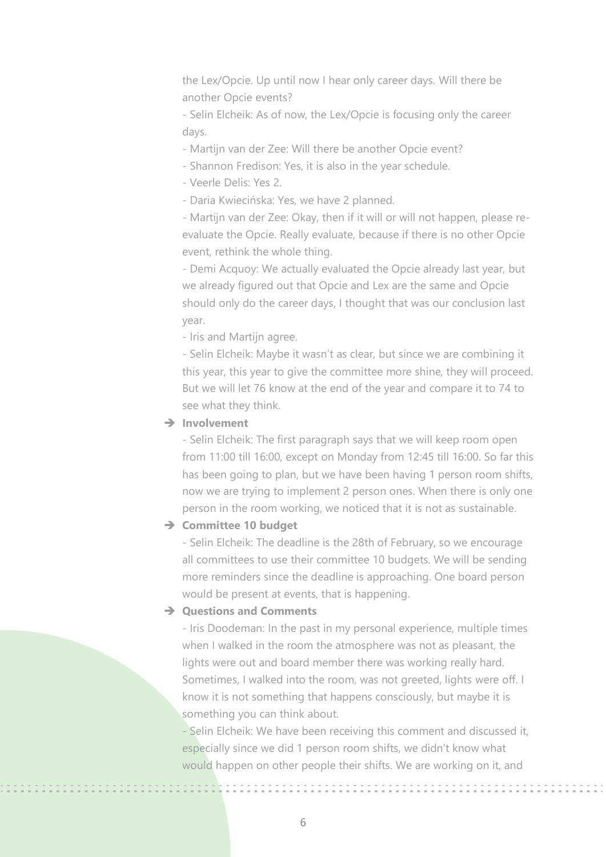the Lex/Opcie. Up until now I hear only career days. Will there be another Opcie events?

- Selin Elcheik: As of now, the Lex/Opcie is focusing only the career days.

- Martijn van der Zee: Will there be another Opcie event?

- Shannon Fredison: Yes, it is also in the year schedule.
- Veerle Delis: Yes 2.

- Daria Kwiecińska: Yes, we have 2 planned.

- Martijn van der Zee: Okay, then if it will or will not happen, please reevaluate the Opcie. Really evaluate, because if there is no other Opcie event, rethink the whole thing.

- Demi Acquoy: We actually evaluated the Opcie already last year, but we already figured out that Opcie and Lex are the same and Opcie should only do the career days, I thought that was our conclusion last year.

- Iris and Martijn agree.

- Selin Elcheik: Maybe it wasn't as clear, but since we are combining it this year, this year to give the committee more shine, they will proceed. But we will let 76 know at the end of the year and compare it to 74 to see what they think.

#### ➔ **Involvement**

- Selin Elcheik: The first paragraph says that we will keep room open from 11:00 till 16:00, except on Monday from 12:45 till 16:00. So far this has been going to plan, but we have been having 1 person room shifts, now we are trying to implement 2 person ones. When there is only one person in the room working, we noticed that it is not as sustainable.

#### ➔ **Committee 10 budget**

- Selin Elcheik: The deadline is the 28th of February, so we encourage all committees to use their committee 10 budgets. We will be sending more reminders since the deadline is approaching. One board person would be present at events, that is happening.

## ➔ **Questions and Comments**

- Iris Doodeman: In the past in my personal experience, multiple times when I walked in the room the atmosphere was not as pleasant, the lights were out and board member there was working really hard. Sometimes, I walked into the room, was not greeted, lights were off. I know it is not something that happens consciously, but maybe it is something you can think about.

- Selin Elcheik: We have been receiving this comment and discussed it, especially since we did 1 person room shifts, we didn't know what would happen on other people their shifts. We are working on it, and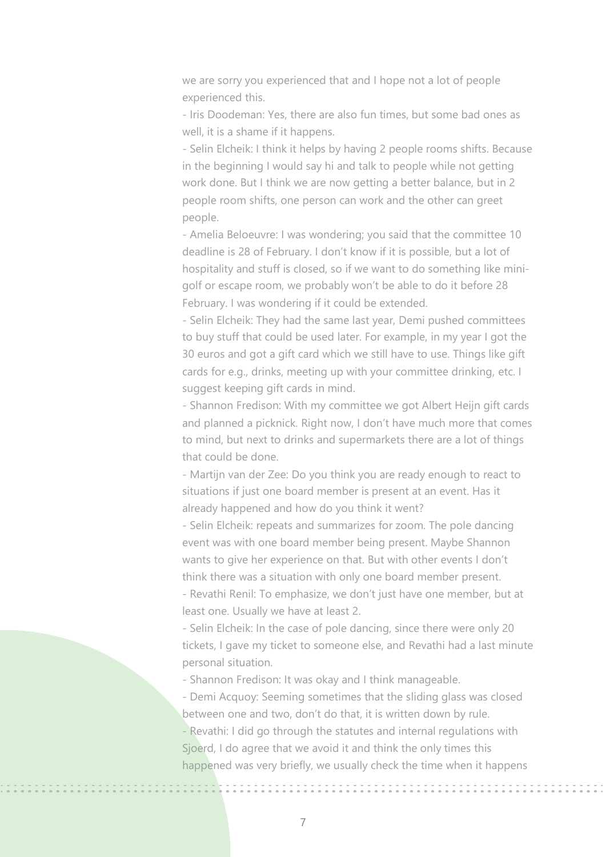we are sorry you experienced that and I hope not a lot of people experienced this.

- Iris Doodeman: Yes, there are also fun times, but some bad ones as well, it is a shame if it happens.

- Selin Elcheik: I think it helps by having 2 people rooms shifts. Because in the beginning I would say hi and talk to people while not getting work done. But I think we are now getting a better balance, but in 2 people room shifts, one person can work and the other can greet people.

- Amelia Beloeuvre: I was wondering; you said that the committee 10 deadline is 28 of February. I don't know if it is possible, but a lot of hospitality and stuff is closed, so if we want to do something like minigolf or escape room, we probably won't be able to do it before 28 February. I was wondering if it could be extended.

- Selin Elcheik: They had the same last year, Demi pushed committees to buy stuff that could be used later. For example, in my year I got the 30 euros and got a gift card which we still have to use. Things like gift cards for e.g., drinks, meeting up with your committee drinking, etc. I suggest keeping gift cards in mind.

- Shannon Fredison: With my committee we got Albert Heijn gift cards and planned a picknick. Right now, I don't have much more that comes to mind, but next to drinks and supermarkets there are a lot of things that could be done.

- Martijn van der Zee: Do you think you are ready enough to react to situations if just one board member is present at an event. Has it already happened and how do you think it went?

- Selin Elcheik: repeats and summarizes for zoom. The pole dancing event was with one board member being present. Maybe Shannon wants to give her experience on that. But with other events I don't think there was a situation with only one board member present.

- Revathi Renil: To emphasize, we don't just have one member, but at least one. Usually we have at least 2.

- Selin Elcheik: In the case of pole dancing, since there were only 20 tickets, I gave my ticket to someone else, and Revathi had a last minute personal situation.

- Shannon Fredison: It was okay and I think manageable.

- Demi Acquoy: Seeming sometimes that the sliding glass was closed between one and two, don't do that, it is written down by rule. - Revathi: I did go through the statutes and internal regulations with Sjoerd, I do agree that we avoid it and think the only times this happened was very briefly, we usually check the time when it happens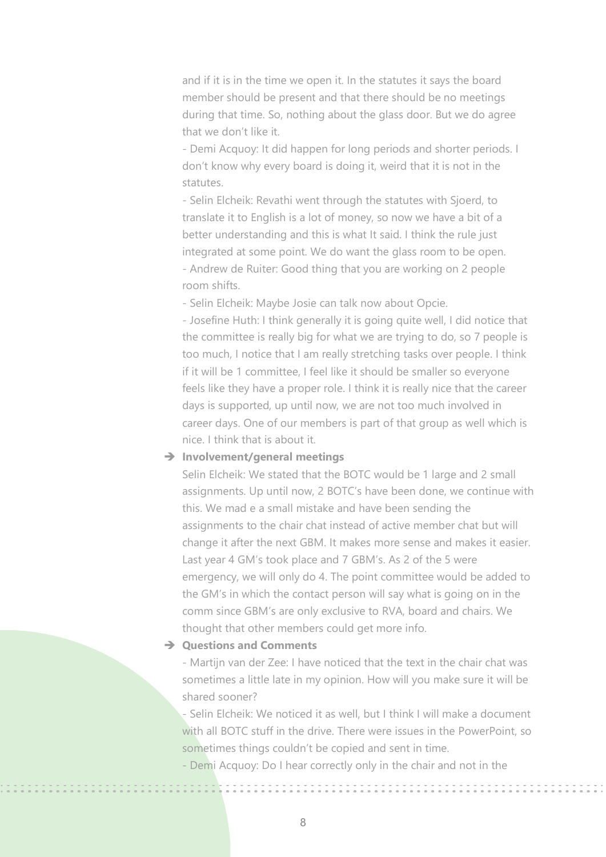and if it is in the time we open it. In the statutes it says the board member should be present and that there should be no meetings during that time. So, nothing about the glass door. But we do agree that we don't like it.

- Demi Acquoy: It did happen for long periods and shorter periods. I don't know why every board is doing it, weird that it is not in the statutes.

- Selin Elcheik: Revathi went through the statutes with Sjoerd, to translate it to English is a lot of money, so now we have a bit of a better understanding and this is what It said. I think the rule just integrated at some point. We do want the glass room to be open. - Andrew de Ruiter: Good thing that you are working on 2 people room shifts.

- Selin Elcheik: Maybe Josie can talk now about Opcie.

- Josefine Huth: I think generally it is going quite well, I did notice that the committee is really big for what we are trying to do, so 7 people is too much, I notice that I am really stretching tasks over people. I think if it will be 1 committee, I feel like it should be smaller so everyone feels like they have a proper role. I think it is really nice that the career days is supported, up until now, we are not too much involved in career days. One of our members is part of that group as well which is nice. I think that is about it.

#### ➔ **Involvement/general meetings**

Selin Elcheik: We stated that the BOTC would be 1 large and 2 small assignments. Up until now, 2 BOTC's have been done, we continue with this. We mad e a small mistake and have been sending the assignments to the chair chat instead of active member chat but will change it after the next GBM. It makes more sense and makes it easier. Last year 4 GM's took place and 7 GBM's. As 2 of the 5 were emergency, we will only do 4. The point committee would be added to the GM's in which the contact person will say what is going on in the comm since GBM's are only exclusive to RVA, board and chairs. We thought that other members could get more info.

#### ➔ **Questions and Comments**

- Martijn van der Zee: I have noticed that the text in the chair chat was sometimes a little late in my opinion. How will you make sure it will be shared sooner?

- Selin Elcheik: We noticed it as well, but I think I will make a document with all BOTC stuff in the drive. There were issues in the PowerPoint, so sometimes things couldn't be copied and sent in time.

- Demi Acquoy: Do I hear correctly only in the chair and not in the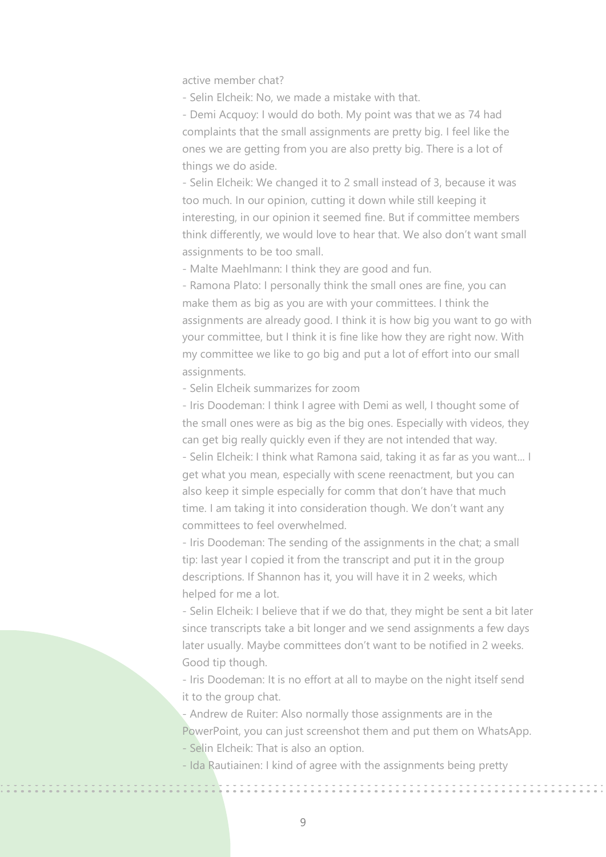active member chat?

- Selin Elcheik: No, we made a mistake with that.

- Demi Acquoy: I would do both. My point was that we as 74 had complaints that the small assignments are pretty big. I feel like the ones we are getting from you are also pretty big. There is a lot of things we do aside.

- Selin Elcheik: We changed it to 2 small instead of 3, because it was too much. In our opinion, cutting it down while still keeping it interesting, in our opinion it seemed fine. But if committee members think differently, we would love to hear that. We also don't want small assignments to be too small.

- Malte Maehlmann: I think they are good and fun.

- Ramona Plato: I personally think the small ones are fine, you can make them as big as you are with your committees. I think the assignments are already good. I think it is how big you want to go with your committee, but I think it is fine like how they are right now. With my committee we like to go big and put a lot of effort into our small assignments.

- Selin Elcheik summarizes for zoom

- Iris Doodeman: I think I agree with Demi as well, I thought some of the small ones were as big as the big ones. Especially with videos, they can get big really quickly even if they are not intended that way. - Selin Elcheik: I think what Ramona said, taking it as far as you want... I get what you mean, especially with scene reenactment, but you can also keep it simple especially for comm that don't have that much time. I am taking it into consideration though. We don't want any committees to feel overwhelmed.

- Iris Doodeman: The sending of the assignments in the chat; a small tip: last year I copied it from the transcript and put it in the group descriptions. If Shannon has it, you will have it in 2 weeks, which helped for me a lot.

- Selin Elcheik: I believe that if we do that, they might be sent a bit later since transcripts take a bit longer and we send assignments a few days later usually. Maybe committees don't want to be notified in 2 weeks. Good tip though.

- Iris Doodeman: It is no effort at all to maybe on the night itself send it to the group chat.

- Andrew de Ruiter: Also normally those assignments are in the PowerPoint, you can just screenshot them and put them on WhatsApp. - Selin Elcheik: That is also an option.

- Ida Rautiainen: I kind of agree with the assignments being pretty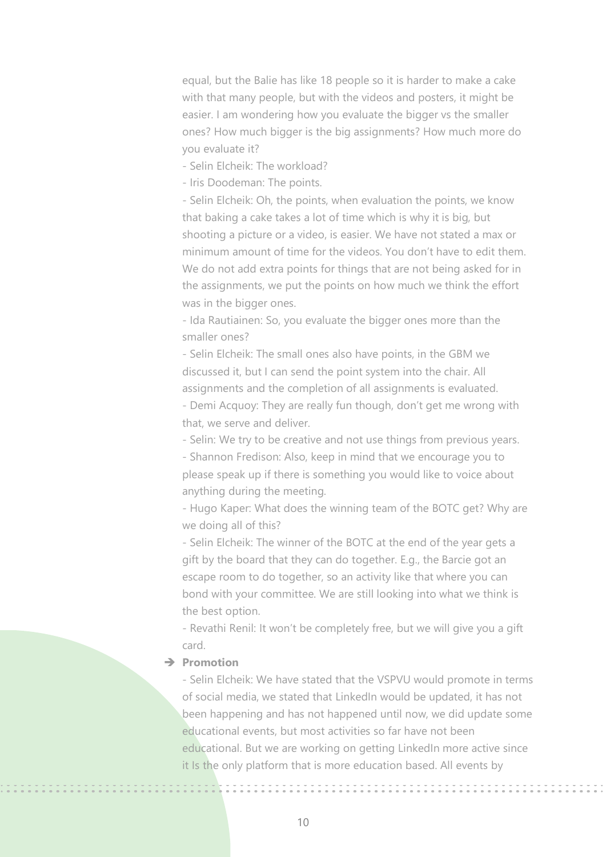equal, but the Balie has like 18 people so it is harder to make a cake with that many people, but with the videos and posters, it might be easier. I am wondering how you evaluate the bigger vs the smaller ones? How much bigger is the big assignments? How much more do you evaluate it?

- Selin Elcheik: The workload?

- Iris Doodeman: The points.

- Selin Elcheik: Oh, the points, when evaluation the points, we know that baking a cake takes a lot of time which is why it is big, but shooting a picture or a video, is easier. We have not stated a max or minimum amount of time for the videos. You don't have to edit them. We do not add extra points for things that are not being asked for in the assignments, we put the points on how much we think the effort was in the bigger ones.

- Ida Rautiainen: So, you evaluate the bigger ones more than the smaller ones?

- Selin Elcheik: The small ones also have points, in the GBM we discussed it, but I can send the point system into the chair. All assignments and the completion of all assignments is evaluated. - Demi Acquoy: They are really fun though, don't get me wrong with that, we serve and deliver.

- Selin: We try to be creative and not use things from previous years.

- Shannon Fredison: Also, keep in mind that we encourage you to please speak up if there is something you would like to voice about anything during the meeting.

- Hugo Kaper: What does the winning team of the BOTC get? Why are we doing all of this?

- Selin Elcheik: The winner of the BOTC at the end of the year gets a gift by the board that they can do together. E.g., the Barcie got an escape room to do together, so an activity like that where you can bond with your committee. We are still looking into what we think is the best option.

- Revathi Renil: It won't be completely free, but we will give you a gift card.

# ➔ **Promotion**

- Selin Elcheik: We have stated that the VSPVU would promote in terms of social media, we stated that LinkedIn would be updated, it has not been happening and has not happened until now, we did update some educational events, but most activities so far have not been educational. But we are working on getting LinkedIn more active since it Is the only platform that is more education based. All events by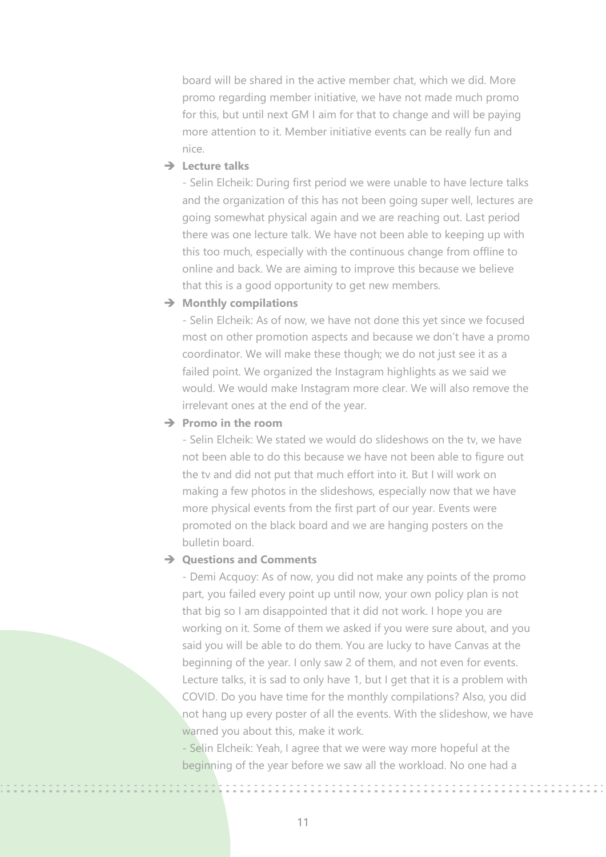board will be shared in the active member chat, which we did. More promo regarding member initiative, we have not made much promo for this, but until next GM I aim for that to change and will be paying more attention to it. Member initiative events can be really fun and nice.

## ➔ **Lecture talks**

- Selin Elcheik: During first period we were unable to have lecture talks and the organization of this has not been going super well, lectures are going somewhat physical again and we are reaching out. Last period there was one lecture talk. We have not been able to keeping up with this too much, especially with the continuous change from offline to online and back. We are aiming to improve this because we believe that this is a good opportunity to get new members.

#### ➔ **Monthly compilations**

- Selin Elcheik: As of now, we have not done this yet since we focused most on other promotion aspects and because we don't have a promo coordinator. We will make these though; we do not just see it as a failed point. We organized the Instagram highlights as we said we would. We would make Instagram more clear. We will also remove the irrelevant ones at the end of the year.

#### ➔ **Promo in the room**

- Selin Elcheik: We stated we would do slideshows on the tv, we have not been able to do this because we have not been able to figure out the tv and did not put that much effort into it. But I will work on making a few photos in the slideshows, especially now that we have more physical events from the first part of our year. Events were promoted on the black board and we are hanging posters on the bulletin board.

## ➔ **Questions and Comments**

- Demi Acquoy: As of now, you did not make any points of the promo part, you failed every point up until now, your own policy plan is not that big so I am disappointed that it did not work. I hope you are working on it. Some of them we asked if you were sure about, and you said you will be able to do them. You are lucky to have Canvas at the beginning of the year. I only saw 2 of them, and not even for events. Lecture talks, it is sad to only have 1, but I get that it is a problem with COVID. Do you have time for the monthly compilations? Also, you did not hang up every poster of all the events. With the slideshow, we have warned you about this, make it work.

- Selin Elcheik: Yeah, I agree that we were way more hopeful at the beginning of the year before we saw all the workload. No one had a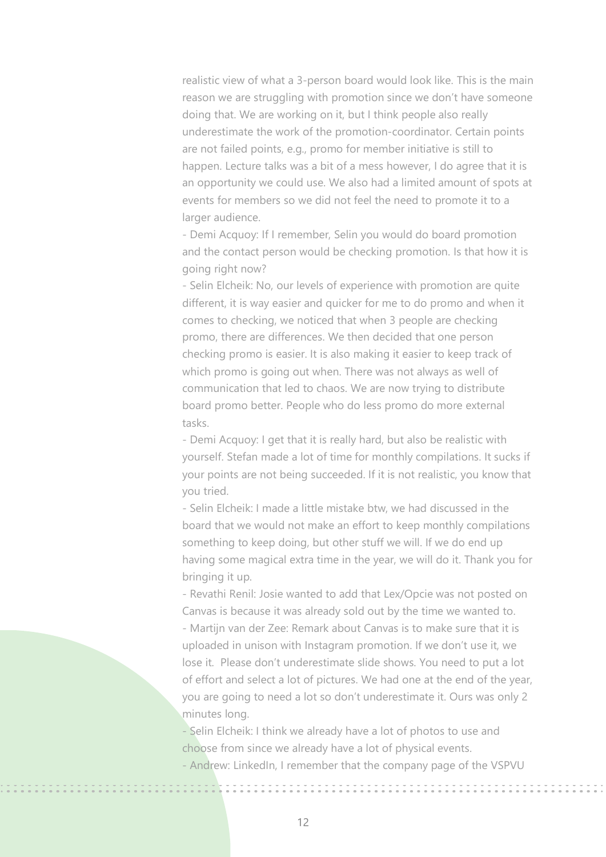realistic view of what a 3-person board would look like. This is the main reason we are struggling with promotion since we don't have someone doing that. We are working on it, but I think people also really underestimate the work of the promotion-coordinator. Certain points are not failed points, e.g., promo for member initiative is still to happen. Lecture talks was a bit of a mess however, I do agree that it is an opportunity we could use. We also had a limited amount of spots at events for members so we did not feel the need to promote it to a larger audience.

- Demi Acquoy: If I remember, Selin you would do board promotion and the contact person would be checking promotion. Is that how it is going right now?

- Selin Elcheik: No, our levels of experience with promotion are quite different, it is way easier and quicker for me to do promo and when it comes to checking, we noticed that when 3 people are checking promo, there are differences. We then decided that one person checking promo is easier. It is also making it easier to keep track of which promo is going out when. There was not always as well of communication that led to chaos. We are now trying to distribute board promo better. People who do less promo do more external tasks.

- Demi Acquoy: I get that it is really hard, but also be realistic with yourself. Stefan made a lot of time for monthly compilations. It sucks if your points are not being succeeded. If it is not realistic, you know that you tried.

- Selin Elcheik: I made a little mistake btw, we had discussed in the board that we would not make an effort to keep monthly compilations something to keep doing, but other stuff we will. If we do end up having some magical extra time in the year, we will do it. Thank you for bringing it up.

- Revathi Renil: Josie wanted to add that Lex/Opcie was not posted on Canvas is because it was already sold out by the time we wanted to. - Martijn van der Zee: Remark about Canvas is to make sure that it is uploaded in unison with Instagram promotion. If we don't use it, we lose it. Please don't underestimate slide shows. You need to put a lot of effort and select a lot of pictures. We had one at the end of the year, you are going to need a lot so don't underestimate it. Ours was only 2 minutes long.

- Selin Elcheik: I think we already have a lot of photos to use and choose from since we already have a lot of physical events. - Andrew: LinkedIn, I remember that the company page of the VSPVU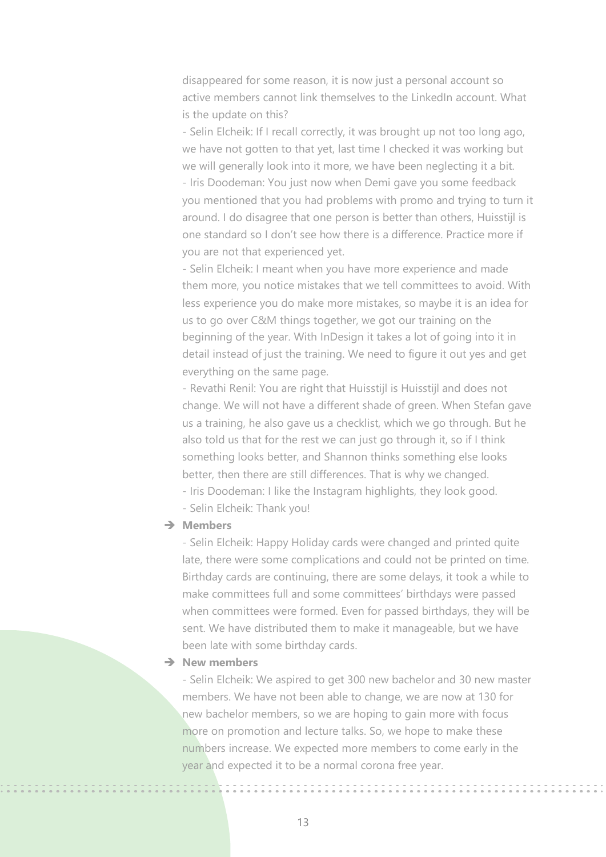disappeared for some reason, it is now just a personal account so active members cannot link themselves to the LinkedIn account. What is the update on this?

- Selin Elcheik: If I recall correctly, it was brought up not too long ago, we have not gotten to that yet, last time I checked it was working but we will generally look into it more, we have been neglecting it a bit. - Iris Doodeman: You just now when Demi gave you some feedback you mentioned that you had problems with promo and trying to turn it around. I do disagree that one person is better than others, Huisstijl is one standard so I don't see how there is a difference. Practice more if you are not that experienced yet.

- Selin Elcheik: I meant when you have more experience and made them more, you notice mistakes that we tell committees to avoid. With less experience you do make more mistakes, so maybe it is an idea for us to go over C&M things together, we got our training on the beginning of the year. With InDesign it takes a lot of going into it in detail instead of just the training. We need to figure it out yes and get everything on the same page.

- Revathi Renil: You are right that Huisstijl is Huisstijl and does not change. We will not have a different shade of green. When Stefan gave us a training, he also gave us a checklist, which we go through. But he also told us that for the rest we can just go through it, so if I think something looks better, and Shannon thinks something else looks better, then there are still differences. That is why we changed.

- Iris Doodeman: I like the Instagram highlights, they look good.

- Selin Elcheik: Thank you!

#### ➔ **Members**

- Selin Elcheik: Happy Holiday cards were changed and printed quite late, there were some complications and could not be printed on time. Birthday cards are continuing, there are some delays, it took a while to make committees full and some committees' birthdays were passed when committees were formed. Even for passed birthdays, they will be sent. We have distributed them to make it manageable, but we have been late with some birthday cards.

#### ➔ **New members**

- Selin Elcheik: We aspired to get 300 new bachelor and 30 new master members. We have not been able to change, we are now at 130 for new bachelor members, so we are hoping to gain more with focus more on promotion and lecture talks. So, we hope to make these numbers increase. We expected more members to come early in the year and expected it to be a normal corona free year.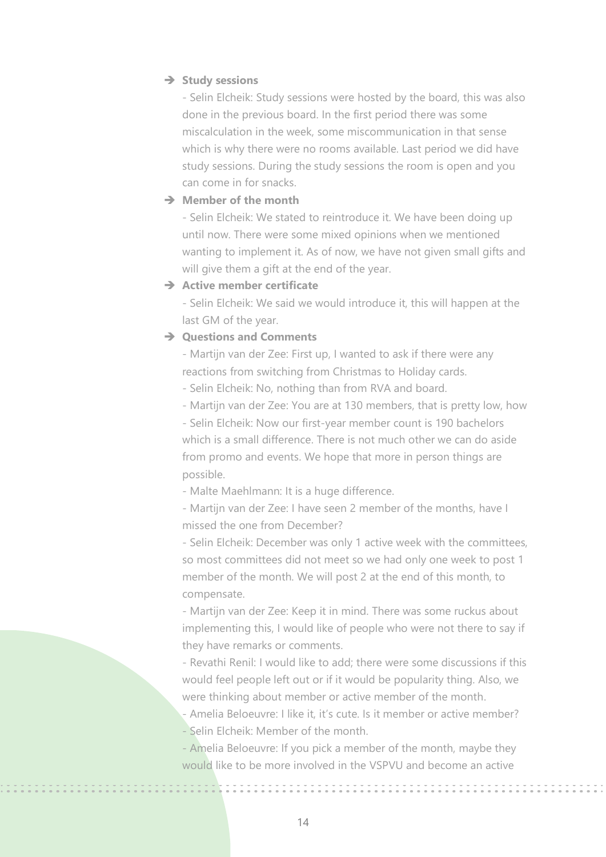## ➔ **Study sessions**

- Selin Elcheik: Study sessions were hosted by the board, this was also done in the previous board. In the first period there was some miscalculation in the week, some miscommunication in that sense which is why there were no rooms available. Last period we did have study sessions. During the study sessions the room is open and you can come in for snacks.

# ➔ **Member of the month**

- Selin Elcheik: We stated to reintroduce it. We have been doing up until now. There were some mixed opinions when we mentioned wanting to implement it. As of now, we have not given small gifts and will give them a gift at the end of the year.

# ➔ **Active member certificate**

- Selin Elcheik: We said we would introduce it, this will happen at the last GM of the year.

# ➔ **Questions and Comments**

- Martijn van der Zee: First up, I wanted to ask if there were any reactions from switching from Christmas to Holiday cards.

- Selin Elcheik: No, nothing than from RVA and board.

- Martijn van der Zee: You are at 130 members, that is pretty low, how

- Selin Elcheik: Now our first-year member count is 190 bachelors which is a small difference. There is not much other we can do aside from promo and events. We hope that more in person things are possible.

- Malte Maehlmann: It is a huge difference.

- Martijn van der Zee: I have seen 2 member of the months, have I missed the one from December?

- Selin Elcheik: December was only 1 active week with the committees, so most committees did not meet so we had only one week to post 1 member of the month. We will post 2 at the end of this month, to compensate.

- Martijn van der Zee: Keep it in mind. There was some ruckus about implementing this, I would like of people who were not there to say if they have remarks or comments.

- Revathi Renil: I would like to add; there were some discussions if this would feel people left out or if it would be popularity thing. Also, we were thinking about member or active member of the month.

- Amelia Beloeuvre: I like it, it's cute. Is it member or active member? - Selin Elcheik: Member of the month.

- Amelia Beloeuvre: If you pick a member of the month, maybe they would like to be more involved in the VSPVU and become an active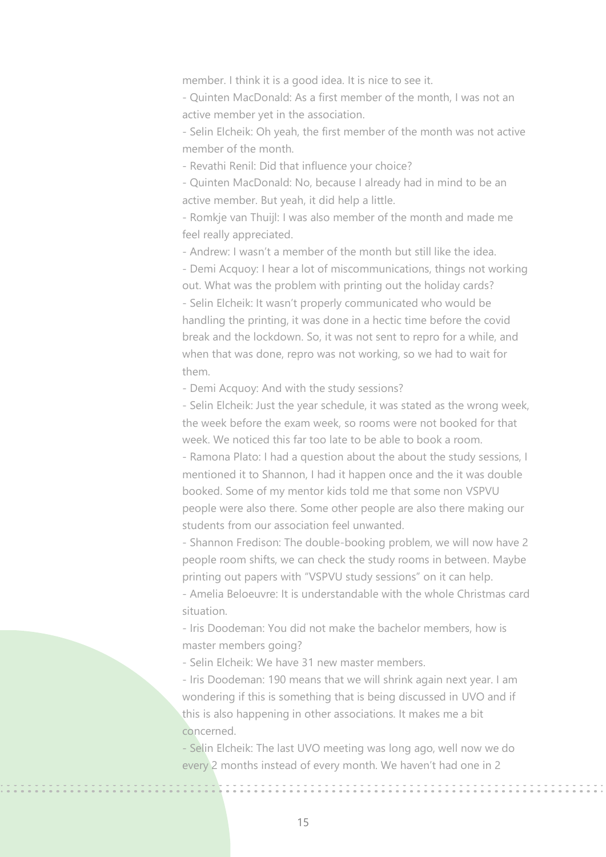member. I think it is a good idea. It is nice to see it.

- Quinten MacDonald: As a first member of the month, I was not an active member yet in the association.

- Selin Elcheik: Oh yeah, the first member of the month was not active member of the month.

- Revathi Renil: Did that influence your choice?

- Quinten MacDonald: No, because I already had in mind to be an active member. But yeah, it did help a little.

- Romkje van Thuijl: I was also member of the month and made me feel really appreciated.

- Andrew: I wasn't a member of the month but still like the idea.

- Demi Acquoy: I hear a lot of miscommunications, things not working out. What was the problem with printing out the holiday cards? - Selin Elcheik: It wasn't properly communicated who would be handling the printing, it was done in a hectic time before the covid break and the lockdown. So, it was not sent to repro for a while, and when that was done, repro was not working, so we had to wait for them.

- Demi Acquoy: And with the study sessions?

- Selin Elcheik: Just the year schedule, it was stated as the wrong week, the week before the exam week, so rooms were not booked for that week. We noticed this far too late to be able to book a room.

- Ramona Plato: I had a question about the about the study sessions, I mentioned it to Shannon, I had it happen once and the it was double booked. Some of my mentor kids told me that some non VSPVU people were also there. Some other people are also there making our students from our association feel unwanted.

- Shannon Fredison: The double-booking problem, we will now have 2 people room shifts, we can check the study rooms in between. Maybe printing out papers with "VSPVU study sessions" on it can help.

- Amelia Beloeuvre: It is understandable with the whole Christmas card situation.

- Iris Doodeman: You did not make the bachelor members, how is master members going?

- Selin Elcheik: We have 31 new master members.

- Iris Doodeman: 190 means that we will shrink again next year. I am wondering if this is something that is being discussed in UVO and if this is also happening in other associations. It makes me a bit concerned.

- Selin Elcheik: The last UVO meeting was long ago, well now we do every 2 months instead of every month. We haven't had one in 2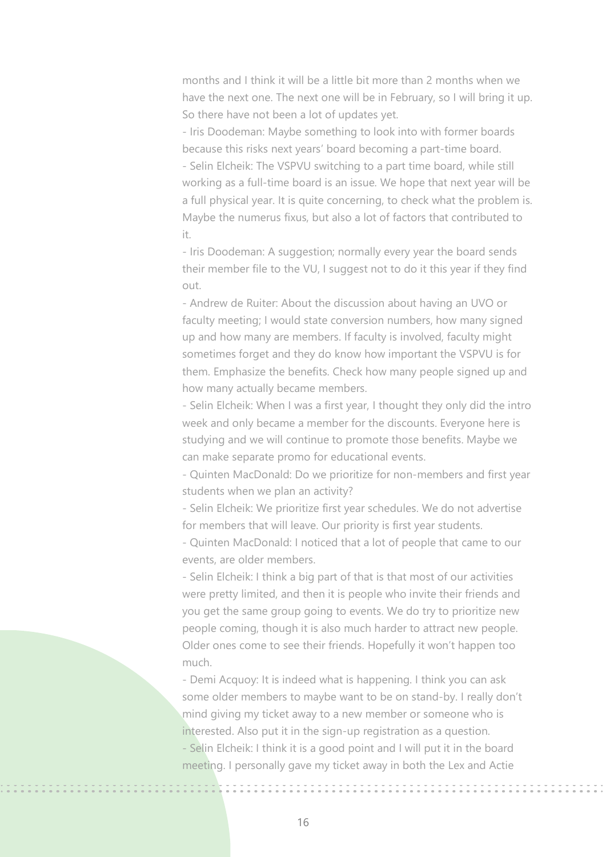months and I think it will be a little bit more than 2 months when we have the next one. The next one will be in February, so I will bring it up. So there have not been a lot of updates yet.

- Iris Doodeman: Maybe something to look into with former boards because this risks next years' board becoming a part-time board. - Selin Elcheik: The VSPVU switching to a part time board, while still working as a full-time board is an issue. We hope that next year will be a full physical year. It is quite concerning, to check what the problem is. Maybe the numerus fixus, but also a lot of factors that contributed to it.

- Iris Doodeman: A suggestion; normally every year the board sends their member file to the VU, I suggest not to do it this year if they find out.

- Andrew de Ruiter: About the discussion about having an UVO or faculty meeting; I would state conversion numbers, how many signed up and how many are members. If faculty is involved, faculty might sometimes forget and they do know how important the VSPVU is for them. Emphasize the benefits. Check how many people signed up and how many actually became members.

- Selin Elcheik: When I was a first year, I thought they only did the intro week and only became a member for the discounts. Everyone here is studying and we will continue to promote those benefits. Maybe we can make separate promo for educational events.

- Quinten MacDonald: Do we prioritize for non-members and first year students when we plan an activity?

- Selin Elcheik: We prioritize first year schedules. We do not advertise for members that will leave. Our priority is first year students.

- Quinten MacDonald: I noticed that a lot of people that came to our events, are older members.

- Selin Elcheik: I think a big part of that is that most of our activities were pretty limited, and then it is people who invite their friends and you get the same group going to events. We do try to prioritize new people coming, though it is also much harder to attract new people. Older ones come to see their friends. Hopefully it won't happen too much.

- Demi Acquoy: It is indeed what is happening. I think you can ask some older members to maybe want to be on stand-by. I really don't mind giving my ticket away to a new member or someone who is interested. Also put it in the sign-up registration as a question. - Selin Elcheik: I think it is a good point and I will put it in the board meeting. I personally gave my ticket away in both the Lex and Actie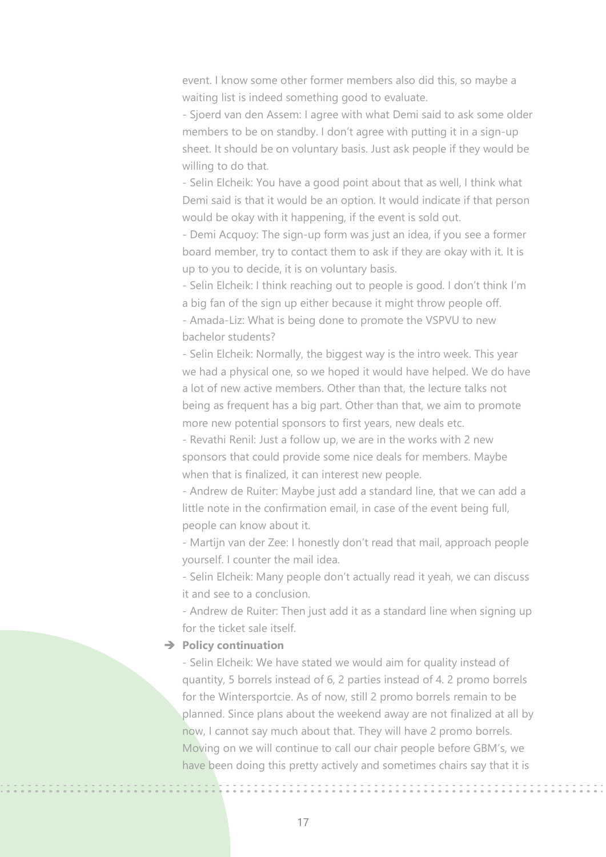event. I know some other former members also did this, so maybe a waiting list is indeed something good to evaluate.

- Sjoerd van den Assem: I agree with what Demi said to ask some older members to be on standby. I don't agree with putting it in a sign-up sheet. It should be on voluntary basis. Just ask people if they would be willing to do that.

- Selin Elcheik: You have a good point about that as well, I think what Demi said is that it would be an option. It would indicate if that person would be okay with it happening, if the event is sold out.

- Demi Acquoy: The sign-up form was just an idea, if you see a former board member, try to contact them to ask if they are okay with it. It is up to you to decide, it is on voluntary basis.

- Selin Elcheik: I think reaching out to people is good. I don't think I'm a big fan of the sign up either because it might throw people off. - Amada-Liz: What is being done to promote the VSPVU to new bachelor students?

- Selin Elcheik: Normally, the biggest way is the intro week. This year we had a physical one, so we hoped it would have helped. We do have a lot of new active members. Other than that, the lecture talks not being as frequent has a big part. Other than that, we aim to promote more new potential sponsors to first years, new deals etc.

- Revathi Renil: Just a follow up, we are in the works with 2 new sponsors that could provide some nice deals for members. Maybe when that is finalized, it can interest new people.

- Andrew de Ruiter: Maybe just add a standard line, that we can add a little note in the confirmation email, in case of the event being full, people can know about it.

- Martijn van der Zee: I honestly don't read that mail, approach people yourself. I counter the mail idea.

- Selin Elcheik: Many people don't actually read it yeah, we can discuss it and see to a conclusion.

- Andrew de Ruiter: Then just add it as a standard line when signing up for the ticket sale itself.

#### ➔ **Policy continuation**

- Selin Elcheik: We have stated we would aim for quality instead of quantity, 5 borrels instead of 6, 2 parties instead of 4. 2 promo borrels for the Wintersportcie. As of now, still 2 promo borrels remain to be planned. Since plans about the weekend away are not finalized at all by now, I cannot say much about that. They will have 2 promo borrels. Moving on we will continue to call our chair people before GBM's, we have been doing this pretty actively and sometimes chairs say that it is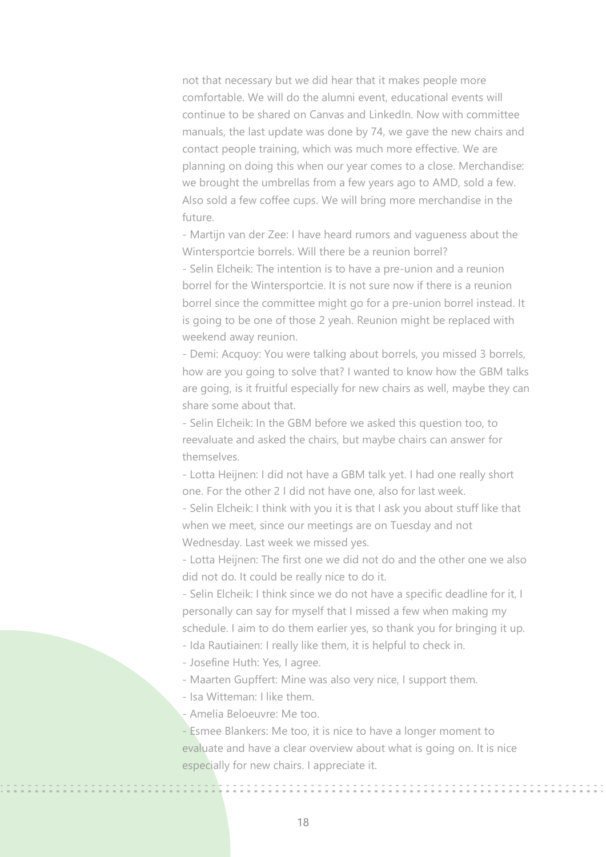not that necessary but we did hear that it makes people more comfortable. We will do the alumni event, educational events will continue to be shared on Canvas and LinkedIn. Now with committee manuals, the last update was done by 74, we gave the new chairs and contact people training, which was much more effective. We are planning on doing this when our year comes to a close. Merchandise: we brought the umbrellas from a few years ago to AMD, sold a few. Also sold a few coffee cups. We will bring more merchandise in the future.

- Martijn van der Zee: I have heard rumors and vagueness about the Wintersportcie borrels. Will there be a reunion borrel?

- Selin Elcheik: The intention is to have a pre-union and a reunion borrel for the Wintersportcie. It is not sure now if there is a reunion borrel since the committee might go for a pre-union borrel instead. It is going to be one of those 2 yeah. Reunion might be replaced with weekend away reunion.

- Demi: Acquoy: You were talking about borrels, you missed 3 borrels, how are you going to solve that? I wanted to know how the GBM talks are going, is it fruitful especially for new chairs as well, maybe they can share some about that.

- Selin Elcheik: In the GBM before we asked this question too, to reevaluate and asked the chairs, but maybe chairs can answer for themselves.

- Lotta Heijnen: I did not have a GBM talk yet. I had one really short one. For the other 2 I did not have one, also for last week.

- Selin Elcheik: I think with you it is that I ask you about stuff like that when we meet, since our meetings are on Tuesday and not Wednesday. Last week we missed yes.

- Lotta Heijnen: The first one we did not do and the other one we also did not do. It could be really nice to do it.

- Selin Elcheik: I think since we do not have a specific deadline for it, I personally can say for myself that I missed a few when making my schedule. I aim to do them earlier yes, so thank you for bringing it up.

- Ida Rautiainen: I really like them, it is helpful to check in.
- Josefine Huth: Yes, I agree.
- Maarten Gupffert: Mine was also very nice, I support them.
- Isa Witteman: I like them.

- Amelia Beloeuvre: Me too.

- Esmee Blankers: Me too, it is nice to have a longer moment to evaluate and have a clear overview about what is going on. It is nice especially for new chairs. I appreciate it.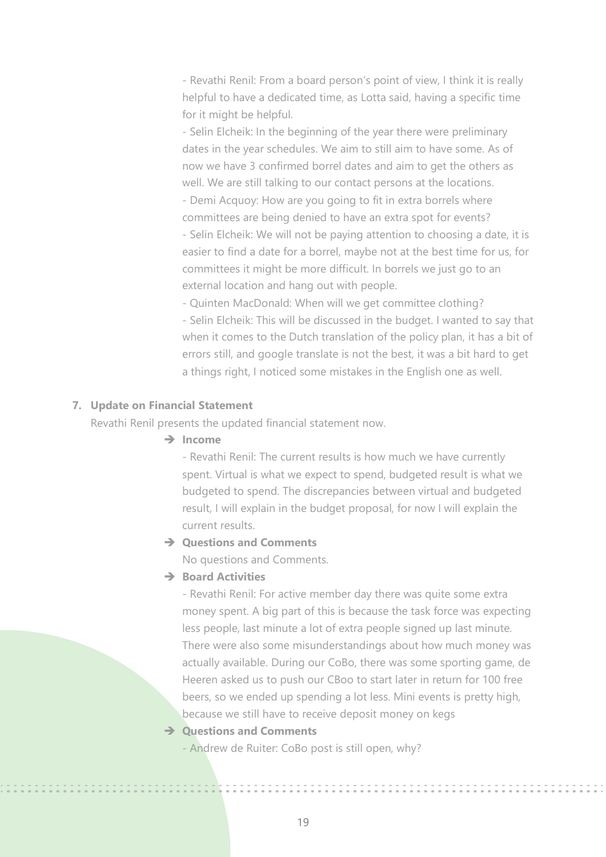- Revathi Renil: From a board person's point of view, I think it is really helpful to have a dedicated time, as Lotta said, having a specific time for it might be helpful.

- Selin Elcheik: In the beginning of the year there were preliminary dates in the year schedules. We aim to still aim to have some. As of now we have 3 confirmed borrel dates and aim to get the others as well. We are still talking to our contact persons at the locations. - Demi Acquoy: How are you going to fit in extra borrels where committees are being denied to have an extra spot for events? - Selin Elcheik: We will not be paying attention to choosing a date, it is easier to find a date for a borrel, maybe not at the best time for us, for committees it might be more difficult. In borrels we just go to an external location and hang out with people.

- Quinten MacDonald: When will we get committee clothing? - Selin Elcheik: This will be discussed in the budget. I wanted to say that when it comes to the Dutch translation of the policy plan, it has a bit of errors still, and google translate is not the best, it was a bit hard to get a things right, I noticed some mistakes in the English one as well.

#### **7. Update on Financial Statement**

Revathi Renil presents the updated financial statement now.

➔ **Income**

- Revathi Renil: The current results is how much we have currently spent. Virtual is what we expect to spend, budgeted result is what we budgeted to spend. The discrepancies between virtual and budgeted result, I will explain in the budget proposal, for now I will explain the current results.

➔ **Questions and Comments**

No questions and Comments.

➔ **Board Activities**

- Revathi Renil: For active member day there was quite some extra money spent. A big part of this is because the task force was expecting less people, last minute a lot of extra people signed up last minute. There were also some misunderstandings about how much money was actually available. During our CoBo, there was some sporting game, de Heeren asked us to push our CBoo to start later in return for 100 free beers, so we ended up spending a lot less. Mini events is pretty high, because we still have to receive deposit money on kegs

#### ➔ **Questions and Comments**

- Andrew de Ruiter: CoBo post is still open, why?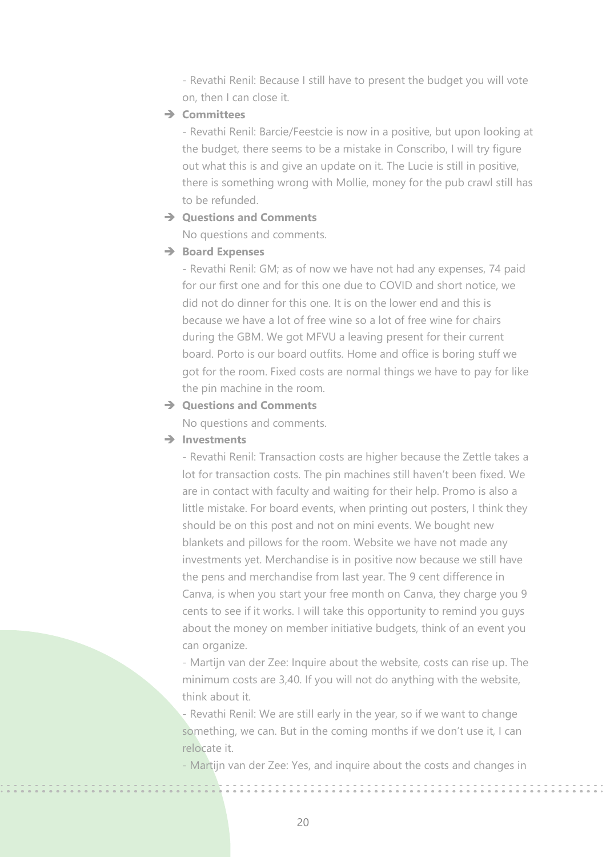- Revathi Renil: Because I still have to present the budget you will vote on, then I can close it.

## ➔ **Committees**

- Revathi Renil: Barcie/Feestcie is now in a positive, but upon looking at the budget, there seems to be a mistake in Conscribo, I will try figure out what this is and give an update on it. The Lucie is still in positive, there is something wrong with Mollie, money for the pub crawl still has to be refunded.

# ➔ **Questions and Comments**

No questions and comments.

# ➔ **Board Expenses**

- Revathi Renil: GM; as of now we have not had any expenses, 74 paid for our first one and for this one due to COVID and short notice, we did not do dinner for this one. It is on the lower end and this is because we have a lot of free wine so a lot of free wine for chairs during the GBM. We got MFVU a leaving present for their current board. Porto is our board outfits. Home and office is boring stuff we got for the room. Fixed costs are normal things we have to pay for like the pin machine in the room.

## ➔ **Questions and Comments**

No questions and comments.

# ➔ **Investments**

- Revathi Renil: Transaction costs are higher because the Zettle takes a lot for transaction costs. The pin machines still haven't been fixed. We are in contact with faculty and waiting for their help. Promo is also a little mistake. For board events, when printing out posters, I think they should be on this post and not on mini events. We bought new blankets and pillows for the room. Website we have not made any investments yet. Merchandise is in positive now because we still have the pens and merchandise from last year. The 9 cent difference in Canva, is when you start your free month on Canva, they charge you 9 cents to see if it works. I will take this opportunity to remind you guys about the money on member initiative budgets, think of an event you can organize.

- Martijn van der Zee: Inquire about the website, costs can rise up. The minimum costs are 3,40. If you will not do anything with the website, think about it.

- Revathi Renil: We are still early in the year, so if we want to change something, we can. But in the coming months if we don't use it, I can relocate it.

- Martijn van der Zee: Yes, and inquire about the costs and changes in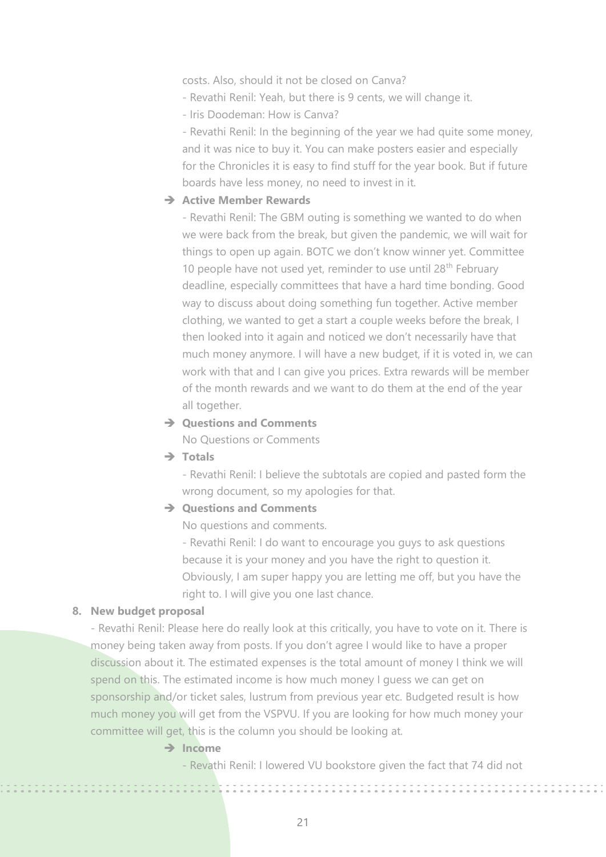costs. Also, should it not be closed on Canva?

- Revathi Renil: Yeah, but there is 9 cents, we will change it.
- Iris Doodeman: How is Canva?

- Revathi Renil: In the beginning of the year we had quite some money, and it was nice to buy it. You can make posters easier and especially for the Chronicles it is easy to find stuff for the year book. But if future boards have less money, no need to invest in it.

## ➔ **Active Member Rewards**

- Revathi Renil: The GBM outing is something we wanted to do when we were back from the break, but given the pandemic, we will wait for things to open up again. BOTC we don't know winner yet. Committee 10 people have not used yet, reminder to use until 28<sup>th</sup> February deadline, especially committees that have a hard time bonding. Good way to discuss about doing something fun together. Active member clothing, we wanted to get a start a couple weeks before the break, I then looked into it again and noticed we don't necessarily have that much money anymore. I will have a new budget, if it is voted in, we can work with that and I can give you prices. Extra rewards will be member of the month rewards and we want to do them at the end of the year all together.

## ➔ **Questions and Comments**

No Questions or Comments

➔ **Totals**

- Revathi Renil: I believe the subtotals are copied and pasted form the wrong document, so my apologies for that.

## ➔ **Questions and Comments**

No questions and comments.

- Revathi Renil: I do want to encourage you guys to ask questions because it is your money and you have the right to question it. Obviously, I am super happy you are letting me off, but you have the right to. I will give you one last chance.

#### **8. New budget proposal**

- Revathi Renil: Please here do really look at this critically, you have to vote on it. There is money being taken away from posts. If you don't agree I would like to have a proper discussion about it. The estimated expenses is the total amount of money I think we will spend on this. The estimated income is how much money I guess we can get on sponsorship and/or ticket sales, lustrum from previous year etc. Budgeted result is how much money you will get from the VSPVU. If you are looking for how much money your committee will get, this is the column you should be looking at.

# ➔ **Income**

*<u>EXECUTE</u>* 

- Revathi Renil: I lowered VU bookstore given the fact that 74 did not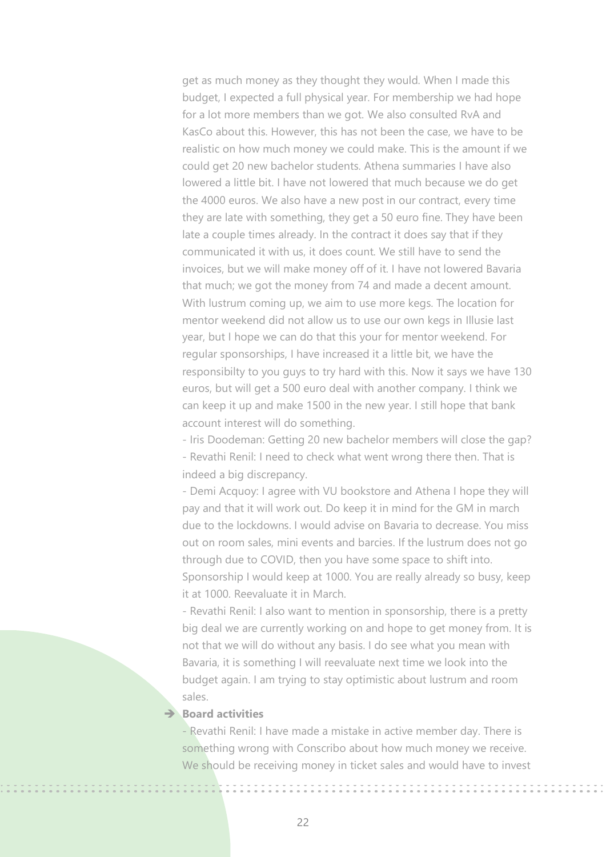get as much money as they thought they would. When I made this budget, I expected a full physical year. For membership we had hope for a lot more members than we got. We also consulted RvA and KasCo about this. However, this has not been the case, we have to be realistic on how much money we could make. This is the amount if we could get 20 new bachelor students. Athena summaries I have also lowered a little bit. I have not lowered that much because we do get the 4000 euros. We also have a new post in our contract, every time they are late with something, they get a 50 euro fine. They have been late a couple times already. In the contract it does say that if they communicated it with us, it does count. We still have to send the invoices, but we will make money off of it. I have not lowered Bavaria that much; we got the money from 74 and made a decent amount. With lustrum coming up, we aim to use more kegs. The location for mentor weekend did not allow us to use our own kegs in Illusie last year, but I hope we can do that this your for mentor weekend. For regular sponsorships, I have increased it a little bit, we have the responsibilty to you guys to try hard with this. Now it says we have 130 euros, but will get a 500 euro deal with another company. I think we can keep it up and make 1500 in the new year. I still hope that bank account interest will do something.

- Iris Doodeman: Getting 20 new bachelor members will close the gap? - Revathi Renil: I need to check what went wrong there then. That is indeed a big discrepancy.

- Demi Acquoy: I agree with VU bookstore and Athena I hope they will pay and that it will work out. Do keep it in mind for the GM in march due to the lockdowns. I would advise on Bavaria to decrease. You miss out on room sales, mini events and barcies. If the lustrum does not go through due to COVID, then you have some space to shift into. Sponsorship I would keep at 1000. You are really already so busy, keep it at 1000. Reevaluate it in March.

- Revathi Renil: I also want to mention in sponsorship, there is a pretty big deal we are currently working on and hope to get money from. It is not that we will do without any basis. I do see what you mean with Bavaria, it is something I will reevaluate next time we look into the budget again. I am trying to stay optimistic about lustrum and room sales.

# ➔ **Board activities**

- Revathi Renil: I have made a mistake in active member day. There is something wrong with Conscribo about how much money we receive. We should be receiving money in ticket sales and would have to invest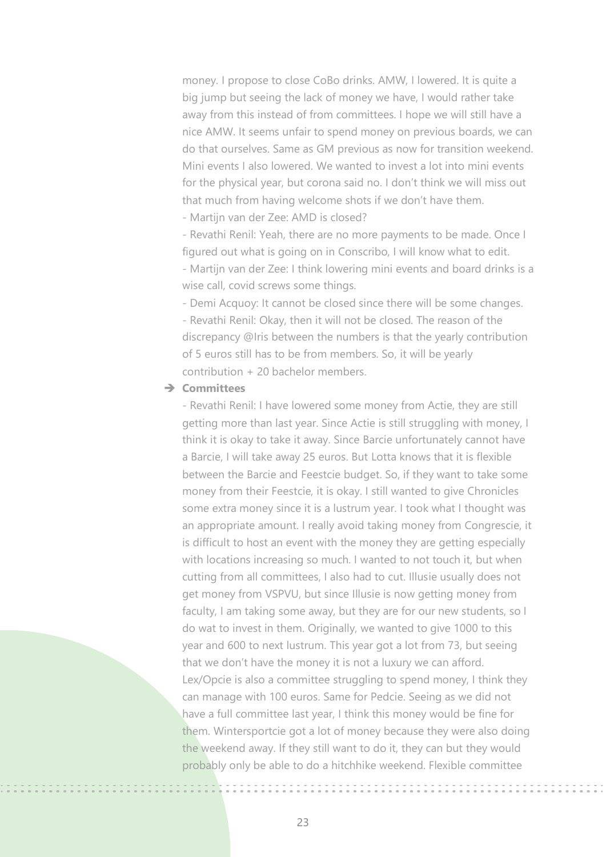money. I propose to close CoBo drinks. AMW, I lowered. It is quite a big jump but seeing the lack of money we have, I would rather take away from this instead of from committees. I hope we will still have a nice AMW. It seems unfair to spend money on previous boards, we can do that ourselves. Same as GM previous as now for transition weekend. Mini events I also lowered. We wanted to invest a lot into mini events for the physical year, but corona said no. I don't think we will miss out that much from having welcome shots if we don't have them.

- Martijn van der Zee: AMD is closed?

- Revathi Renil: Yeah, there are no more payments to be made. Once I figured out what is going on in Conscribo, I will know what to edit. - Martijn van der Zee: I think lowering mini events and board drinks is a wise call, covid screws some things.

- Demi Acquoy: It cannot be closed since there will be some changes. - Revathi Renil: Okay, then it will not be closed. The reason of the discrepancy @Iris between the numbers is that the yearly contribution of 5 euros still has to be from members. So, it will be yearly contribution + 20 bachelor members.

#### ➔ **Committees**

- Revathi Renil: I have lowered some money from Actie, they are still getting more than last year. Since Actie is still struggling with money, I think it is okay to take it away. Since Barcie unfortunately cannot have a Barcie, I will take away 25 euros. But Lotta knows that it is flexible between the Barcie and Feestcie budget. So, if they want to take some money from their Feestcie, it is okay. I still wanted to give Chronicles some extra money since it is a lustrum year. I took what I thought was an appropriate amount. I really avoid taking money from Congrescie, it is difficult to host an event with the money they are getting especially with locations increasing so much. I wanted to not touch it, but when cutting from all committees, I also had to cut. Illusie usually does not get money from VSPVU, but since Illusie is now getting money from faculty, I am taking some away, but they are for our new students, so I do wat to invest in them. Originally, we wanted to give 1000 to this year and 600 to next lustrum. This year got a lot from 73, but seeing that we don't have the money it is not a luxury we can afford. Lex/Opcie is also a committee struggling to spend money, I think they can manage with 100 euros. Same for Pedcie. Seeing as we did not have a full committee last year, I think this money would be fine for them. Wintersportcie got a lot of money because they were also doing the weekend away. If they still want to do it, they can but they would probably only be able to do a hitchhike weekend. Flexible committee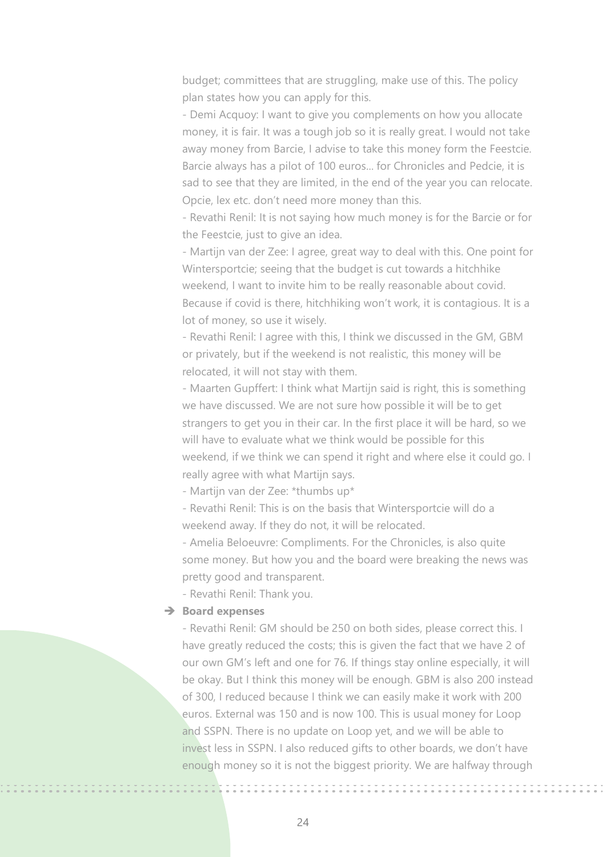budget; committees that are struggling, make use of this. The policy plan states how you can apply for this.

- Demi Acquoy: I want to give you complements on how you allocate money, it is fair. It was a tough job so it is really great. I would not take away money from Barcie, I advise to take this money form the Feestcie. Barcie always has a pilot of 100 euros... for Chronicles and Pedcie, it is sad to see that they are limited, in the end of the year you can relocate. Opcie, lex etc. don't need more money than this.

- Revathi Renil: It is not saying how much money is for the Barcie or for the Feestcie, just to give an idea.

- Martijn van der Zee: I agree, great way to deal with this. One point for Wintersportcie; seeing that the budget is cut towards a hitchhike weekend, I want to invite him to be really reasonable about covid. Because if covid is there, hitchhiking won't work, it is contagious. It is a lot of money, so use it wisely.

- Revathi Renil: I agree with this, I think we discussed in the GM, GBM or privately, but if the weekend is not realistic, this money will be relocated, it will not stay with them.

- Maarten Gupffert: I think what Martijn said is right, this is something we have discussed. We are not sure how possible it will be to get strangers to get you in their car. In the first place it will be hard, so we will have to evaluate what we think would be possible for this weekend, if we think we can spend it right and where else it could go. I really agree with what Martijn says.

- Martijn van der Zee: \*thumbs up\*

- Revathi Renil: This is on the basis that Wintersportcie will do a weekend away. If they do not, it will be relocated.

- Amelia Beloeuvre: Compliments. For the Chronicles, is also quite some money. But how you and the board were breaking the news was pretty good and transparent.

- Revathi Renil: Thank you.

#### ➔ **Board expenses**

- Revathi Renil: GM should be 250 on both sides, please correct this. I have greatly reduced the costs; this is given the fact that we have 2 of our own GM's left and one for 76. If things stay online especially, it will be okay. But I think this money will be enough. GBM is also 200 instead of 300, I reduced because I think we can easily make it work with 200 euros. External was 150 and is now 100. This is usual money for Loop and SSPN. There is no update on Loop yet, and we will be able to invest less in SSPN. I also reduced gifts to other boards, we don't have enough money so it is not the biggest priority. We are halfway through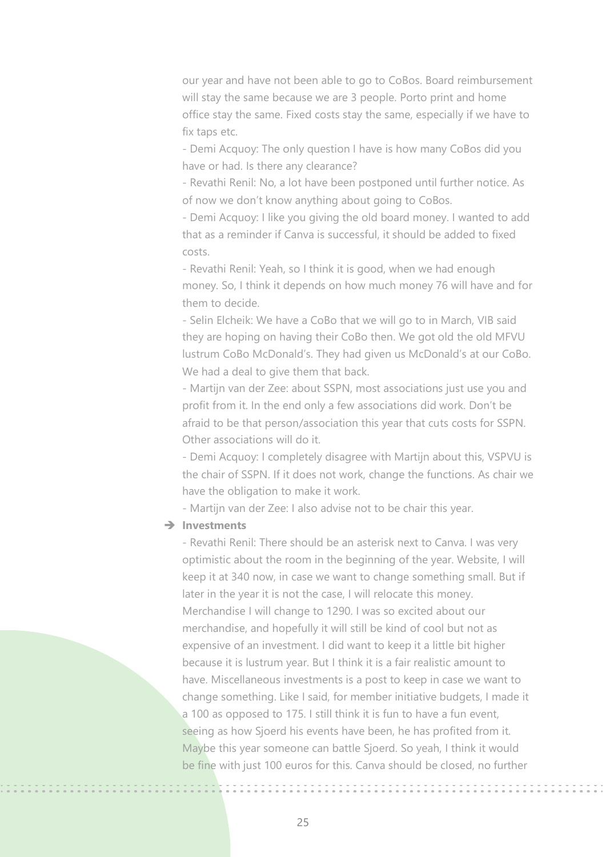our year and have not been able to go to CoBos. Board reimbursement will stay the same because we are 3 people. Porto print and home office stay the same. Fixed costs stay the same, especially if we have to fix taps etc.

- Demi Acquoy: The only question I have is how many CoBos did you have or had. Is there any clearance?

- Revathi Renil: No, a lot have been postponed until further notice. As of now we don't know anything about going to CoBos.

- Demi Acquoy: I like you giving the old board money. I wanted to add that as a reminder if Canva is successful, it should be added to fixed costs.

- Revathi Renil: Yeah, so I think it is good, when we had enough money. So, I think it depends on how much money 76 will have and for them to decide.

- Selin Elcheik: We have a CoBo that we will go to in March, VIB said they are hoping on having their CoBo then. We got old the old MFVU lustrum CoBo McDonald's. They had given us McDonald's at our CoBo. We had a deal to give them that back.

- Martijn van der Zee: about SSPN, most associations just use you and profit from it. In the end only a few associations did work. Don't be afraid to be that person/association this year that cuts costs for SSPN. Other associations will do it.

- Demi Acquoy: I completely disagree with Martijn about this, VSPVU is the chair of SSPN. If it does not work, change the functions. As chair we have the obligation to make it work.

- Martijn van der Zee: I also advise not to be chair this year.

#### ➔ **Investments**

- Revathi Renil: There should be an asterisk next to Canva. I was very optimistic about the room in the beginning of the year. Website, I will keep it at 340 now, in case we want to change something small. But if later in the year it is not the case, I will relocate this money. Merchandise I will change to 1290. I was so excited about our merchandise, and hopefully it will still be kind of cool but not as expensive of an investment. I did want to keep it a little bit higher because it is lustrum year. But I think it is a fair realistic amount to have. Miscellaneous investments is a post to keep in case we want to change something. Like I said, for member initiative budgets, I made it a 100 as opposed to 175. I still think it is fun to have a fun event, seeing as how Sjoerd his events have been, he has profited from it. Maybe this year someone can battle Sjoerd. So yeah, I think it would be fine with just 100 euros for this. Canva should be closed, no further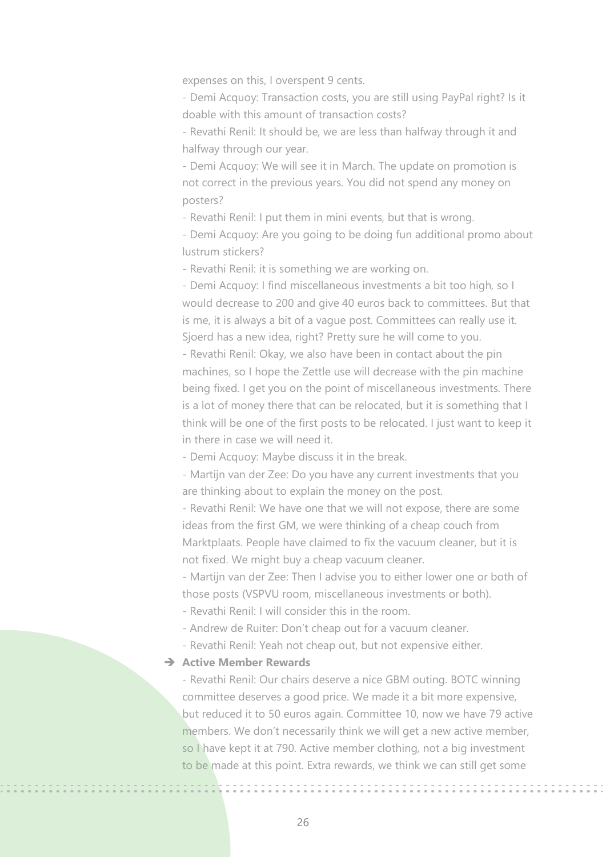expenses on this, I overspent 9 cents.

- Demi Acquoy: Transaction costs, you are still using PayPal right? Is it doable with this amount of transaction costs?

- Revathi Renil: It should be, we are less than halfway through it and halfway through our year.

- Demi Acquoy: We will see it in March. The update on promotion is not correct in the previous years. You did not spend any money on posters?

- Revathi Renil: I put them in mini events, but that is wrong.

- Demi Acquoy: Are you going to be doing fun additional promo about lustrum stickers?

- Revathi Renil: it is something we are working on.

- Demi Acquoy: I find miscellaneous investments a bit too high, so I would decrease to 200 and give 40 euros back to committees. But that is me, it is always a bit of a vague post. Committees can really use it. Sjoerd has a new idea, right? Pretty sure he will come to you. - Revathi Renil: Okay, we also have been in contact about the pin machines, so I hope the Zettle use will decrease with the pin machine being fixed. I get you on the point of miscellaneous investments. There is a lot of money there that can be relocated, but it is something that I think will be one of the first posts to be relocated. I just want to keep it in there in case we will need it.

- Demi Acquoy: Maybe discuss it in the break.

- Martijn van der Zee: Do you have any current investments that you are thinking about to explain the money on the post.

- Revathi Renil: We have one that we will not expose, there are some ideas from the first GM, we were thinking of a cheap couch from Marktplaats. People have claimed to fix the vacuum cleaner, but it is not fixed. We might buy a cheap vacuum cleaner.

- Martijn van der Zee: Then I advise you to either lower one or both of those posts (VSPVU room, miscellaneous investments or both).

- Revathi Renil: I will consider this in the room.
- Andrew de Ruiter: Don't cheap out for a vacuum cleaner.
- Revathi Renil: Yeah not cheap out, but not expensive either.

# ➔ **Active Member Rewards**

- Revathi Renil: Our chairs deserve a nice GBM outing. BOTC winning committee deserves a good price. We made it a bit more expensive, but reduced it to 50 euros again. Committee 10, now we have 79 active members. We don't necessarily think we will get a new active member, so I have kept it at 790. Active member clothing, not a big investment to be made at this point. Extra rewards, we think we can still get some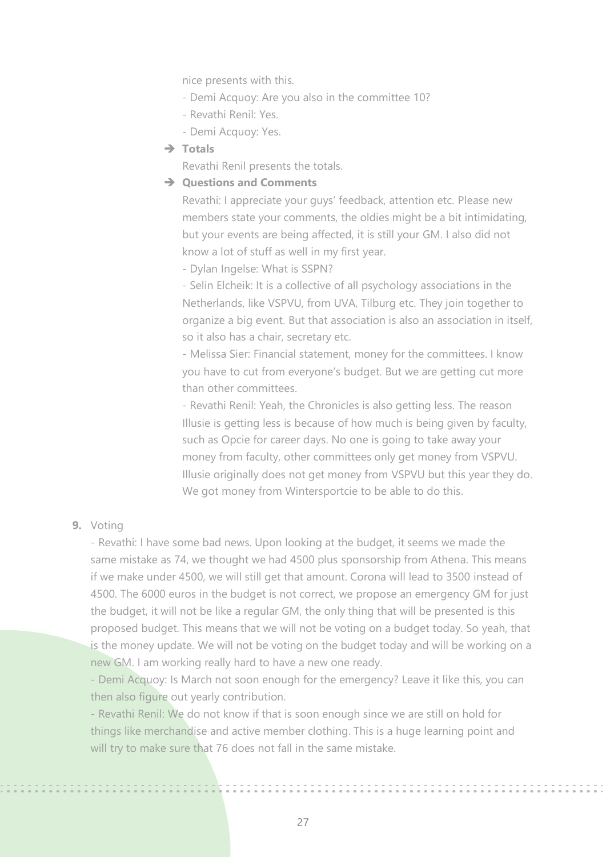nice presents with this.

- Demi Acquoy: Are you also in the committee 10?
- Revathi Renil: Yes.
- Demi Acquoy: Yes.
- ➔ **Totals**

Revathi Renil presents the totals.

#### ➔ **Questions and Comments**

Revathi: I appreciate your guys' feedback, attention etc. Please new members state your comments, the oldies might be a bit intimidating, but your events are being affected, it is still your GM. I also did not know a lot of stuff as well in my first year.

- Dylan Ingelse: What is SSPN?

- Selin Elcheik: It is a collective of all psychology associations in the Netherlands, like VSPVU, from UVA, Tilburg etc. They join together to organize a big event. But that association is also an association in itself, so it also has a chair, secretary etc.

- Melissa Sier: Financial statement, money for the committees. I know you have to cut from everyone's budget. But we are getting cut more than other committees.

- Revathi Renil: Yeah, the Chronicles is also getting less. The reason Illusie is getting less is because of how much is being given by faculty, such as Opcie for career days. No one is going to take away your money from faculty, other committees only get money from VSPVU. Illusie originally does not get money from VSPVU but this year they do. We got money from Wintersportcie to be able to do this.

#### **9.** Voting

- Revathi: I have some bad news. Upon looking at the budget, it seems we made the same mistake as 74, we thought we had 4500 plus sponsorship from Athena. This means if we make under 4500, we will still get that amount. Corona will lead to 3500 instead of 4500. The 6000 euros in the budget is not correct, we propose an emergency GM for just the budget, it will not be like a regular GM, the only thing that will be presented is this proposed budget. This means that we will not be voting on a budget today. So yeah, that is the money update. We will not be voting on the budget today and will be working on a new GM. I am working really hard to have a new one ready.

- Demi Acquoy: Is March not soon enough for the emergency? Leave it like this, you can then also figure out yearly contribution.

- Revathi Renil: We do not know if that is soon enough since we are still on hold for things like merchandise and active member clothing. This is a huge learning point and will try to make sure that 76 does not fall in the same mistake.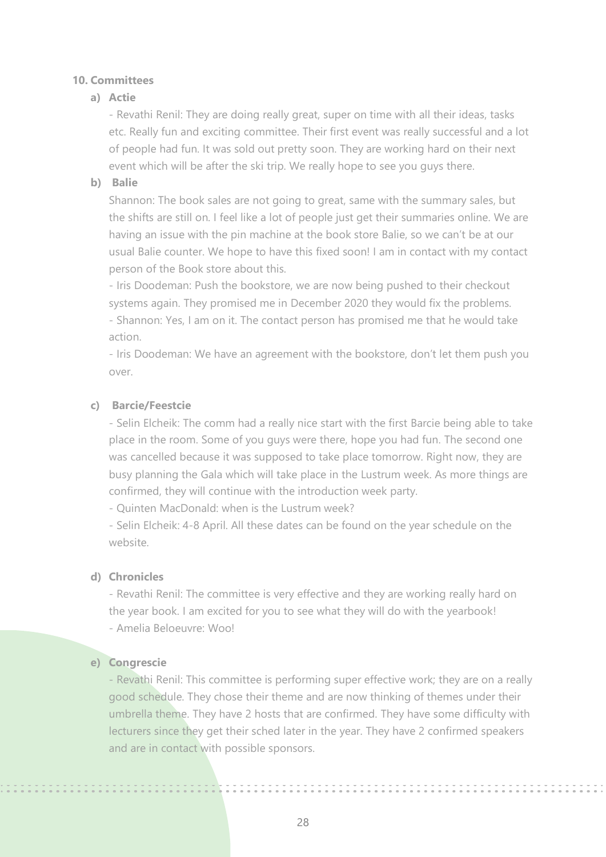## **10. Committees**

# **a) Actie**

- Revathi Renil: They are doing really great, super on time with all their ideas, tasks etc. Really fun and exciting committee. Their first event was really successful and a lot of people had fun. It was sold out pretty soon. They are working hard on their next event which will be after the ski trip. We really hope to see you guys there.

# **b) Balie**

Shannon: The book sales are not going to great, same with the summary sales, but the shifts are still on. I feel like a lot of people just get their summaries online. We are having an issue with the pin machine at the book store Balie, so we can't be at our usual Balie counter. We hope to have this fixed soon! I am in contact with my contact person of the Book store about this.

- Iris Doodeman: Push the bookstore, we are now being pushed to their checkout systems again. They promised me in December 2020 they would fix the problems. - Shannon: Yes, I am on it. The contact person has promised me that he would take action.

- Iris Doodeman: We have an agreement with the bookstore, don't let them push you over.

# **c) Barcie/Feestcie**

- Selin Elcheik: The comm had a really nice start with the first Barcie being able to take place in the room. Some of you guys were there, hope you had fun. The second one was cancelled because it was supposed to take place tomorrow. Right now, they are busy planning the Gala which will take place in the Lustrum week. As more things are confirmed, they will continue with the introduction week party.

- Quinten MacDonald: when is the Lustrum week?

- Selin Elcheik: 4-8 April. All these dates can be found on the year schedule on the website.

# **d) Chronicles**

- Revathi Renil: The committee is very effective and they are working really hard on the year book. I am excited for you to see what they will do with the yearbook! - Amelia Beloeuvre: Woo!

# **e) Congrescie**

- Revathi Renil: This committee is performing super effective work; they are on a really good schedule. They chose their theme and are now thinking of themes under their umbrella theme. They have 2 hosts that are confirmed. They have some difficulty with lecturers since they get their sched later in the year. They have 2 confirmed speakers and are in contact with possible sponsors.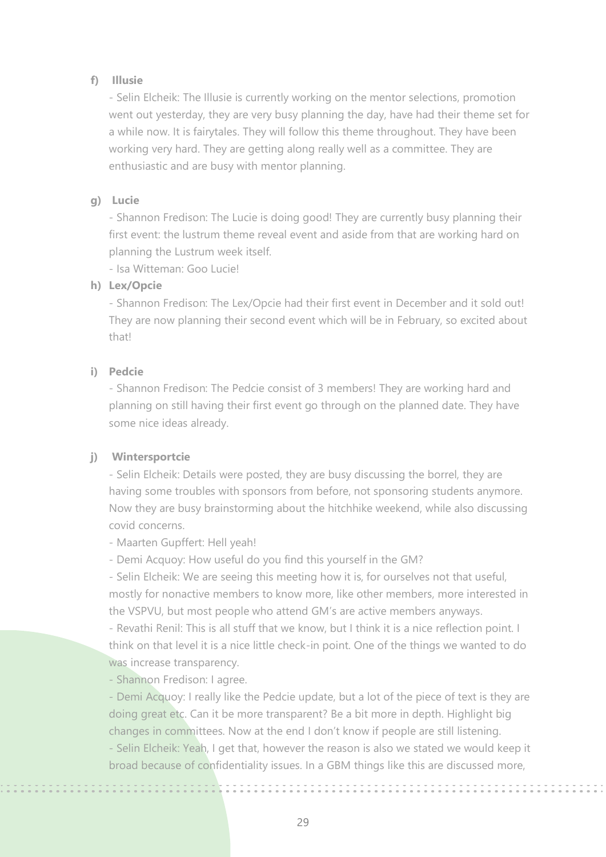# **f) Illusie**

- Selin Elcheik: The Illusie is currently working on the mentor selections, promotion went out yesterday, they are very busy planning the day, have had their theme set for a while now. It is fairytales. They will follow this theme throughout. They have been working very hard. They are getting along really well as a committee. They are enthusiastic and are busy with mentor planning.

## **g) Lucie**

- Shannon Fredison: The Lucie is doing good! They are currently busy planning their first event: the lustrum theme reveal event and aside from that are working hard on planning the Lustrum week itself.

- Isa Witteman: Goo Lucie!

## **h) Lex/Opcie**

- Shannon Fredison: The Lex/Opcie had their first event in December and it sold out! They are now planning their second event which will be in February, so excited about that!

## **i) Pedcie**

- Shannon Fredison: The Pedcie consist of 3 members! They are working hard and planning on still having their first event go through on the planned date. They have some nice ideas already.

#### **j) Wintersportcie**

- Selin Elcheik: Details were posted, they are busy discussing the borrel, they are having some troubles with sponsors from before, not sponsoring students anymore. Now they are busy brainstorming about the hitchhike weekend, while also discussing covid concerns.

- Maarten Gupffert: Hell yeah!

- Demi Acquoy: How useful do you find this yourself in the GM?

- Selin Elcheik: We are seeing this meeting how it is, for ourselves not that useful, mostly for nonactive members to know more, like other members, more interested in the VSPVU, but most people who attend GM's are active members anyways.

- Revathi Renil: This is all stuff that we know, but I think it is a nice reflection point. I think on that level it is a nice little check-in point. One of the things we wanted to do was increase transparency.

- Shannon Fredison: I agree.

- Demi Acquoy: I really like the Pedcie update, but a lot of the piece of text is they are doing great etc. Can it be more transparent? Be a bit more in depth. Highlight big changes in committees. Now at the end I don't know if people are still listening.

- Selin Elcheik: Yeah, I get that, however the reason is also we stated we would keep it broad because of confidentiality issues. In a GBM things like this are discussed more,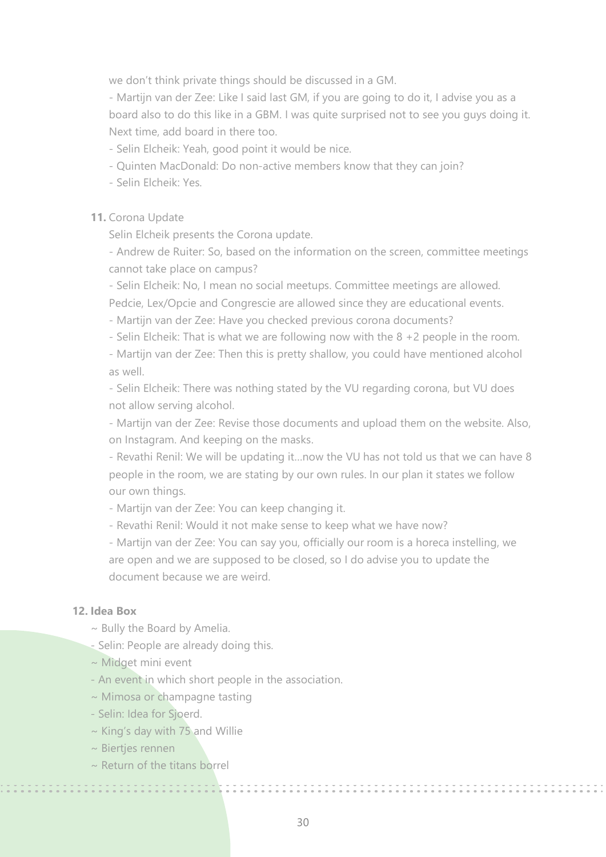we don't think private things should be discussed in a GM.

- Martijn van der Zee: Like I said last GM, if you are going to do it, I advise you as a board also to do this like in a GBM. I was quite surprised not to see you guys doing it. Next time, add board in there too.

- Selin Elcheik: Yeah, good point it would be nice.
- Quinten MacDonald: Do non-active members know that they can join?
- Selin Elcheik: Yes.

## **11.** Corona Update

Selin Elcheik presents the Corona update.

- Andrew de Ruiter: So, based on the information on the screen, committee meetings cannot take place on campus?

- Selin Elcheik: No, I mean no social meetups. Committee meetings are allowed.

Pedcie, Lex/Opcie and Congrescie are allowed since they are educational events.

- Martijn van der Zee: Have you checked previous corona documents?
- Selin Elcheik: That is what we are following now with the 8 +2 people in the room.

- Martijn van der Zee: Then this is pretty shallow, you could have mentioned alcohol as well.

- Selin Elcheik: There was nothing stated by the VU regarding corona, but VU does not allow serving alcohol.

- Martijn van der Zee: Revise those documents and upload them on the website. Also, on Instagram. And keeping on the masks.

- Revathi Renil: We will be updating it…now the VU has not told us that we can have 8 people in the room, we are stating by our own rules. In our plan it states we follow our own things.

- Martijn van der Zee: You can keep changing it.

- Revathi Renil: Would it not make sense to keep what we have now?

- Martijn van der Zee: You can say you, officially our room is a horeca instelling, we are open and we are supposed to be closed, so I do advise you to update the document because we are weird.

## **12. Idea Box**

- ~ Bully the Board by Amelia.
- Selin: People are already doing this.
- ~ Midget mini event
- An event in which short people in the association.
- ~ Mimosa or champagne tasting
- Selin: Idea for Sjoerd.
- ~ King's day with 75 and Willie
- ~ Biertjes rennen

------------------

 $\sim$  Return of the titans borrel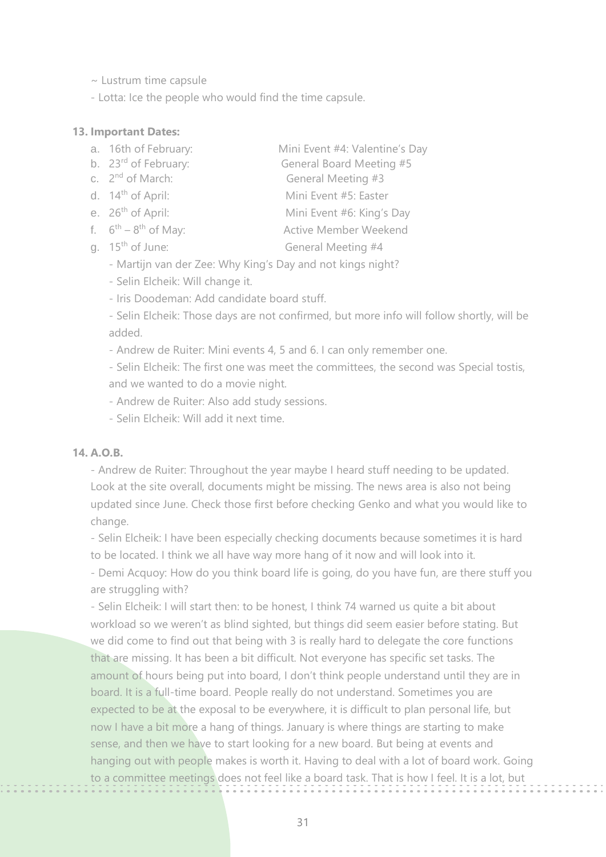$\sim$  Lustrum time capsule

- Lotta: Ice the people who would find the time capsule.

#### **13. Important Dates:**

- a. 16th of February: Mini Event #4: Valentine's Day
- b. 23<sup>rd</sup> of February: General Board Meeting #5
- c. 2<sup>nd</sup> of March: General Meeting #3
- d. 14th of April: Mini Event #5: Easter
- e. 26<sup>th</sup> of April: Mini Event #6: King's Day
- f.  $6^{th} 8$
- Active Member Weekend
- g. 15th of June: General Meeting #4
	- Martijn van der Zee: Why King's Day and not kings night?
	- Selin Elcheik: Will change it.
	- Iris Doodeman: Add candidate board stuff.

- Selin Elcheik: Those days are not confirmed, but more info will follow shortly, will be added.

- Andrew de Ruiter: Mini events 4, 5 and 6. I can only remember one.

- Selin Elcheik: The first one was meet the committees, the second was Special tostis, and we wanted to do a movie night.

- Andrew de Ruiter: Also add study sessions.

- Selin Elcheik: Will add it next time.

# **14. A.O.B.**

- Andrew de Ruiter: Throughout the year maybe I heard stuff needing to be updated. Look at the site overall, documents might be missing. The news area is also not being updated since June. Check those first before checking Genko and what you would like to change.

- Selin Elcheik: I have been especially checking documents because sometimes it is hard to be located. I think we all have way more hang of it now and will look into it.

- Demi Acquoy: How do you think board life is going, do you have fun, are there stuff you are struggling with?

- Selin Elcheik: I will start then: to be honest, I think 74 warned us quite a bit about workload so we weren't as blind sighted, but things did seem easier before stating. But we did come to find out that being with 3 is really hard to delegate the core functions that are missing. It has been a bit difficult. Not everyone has specific set tasks. The amount of hours being put into board, I don't think people understand until they are in board. It is a full-time board. People really do not understand. Sometimes you are expected to be at the exposal to be everywhere, it is difficult to plan personal life, but now I have a bit more a hang of things. January is where things are starting to make sense, and then we have to start looking for a new board. But being at events and hanging out with people makes is worth it. Having to deal with a lot of board work. Going to a committee meetings does not feel like a board task. That is how I feel. It is a lot, but